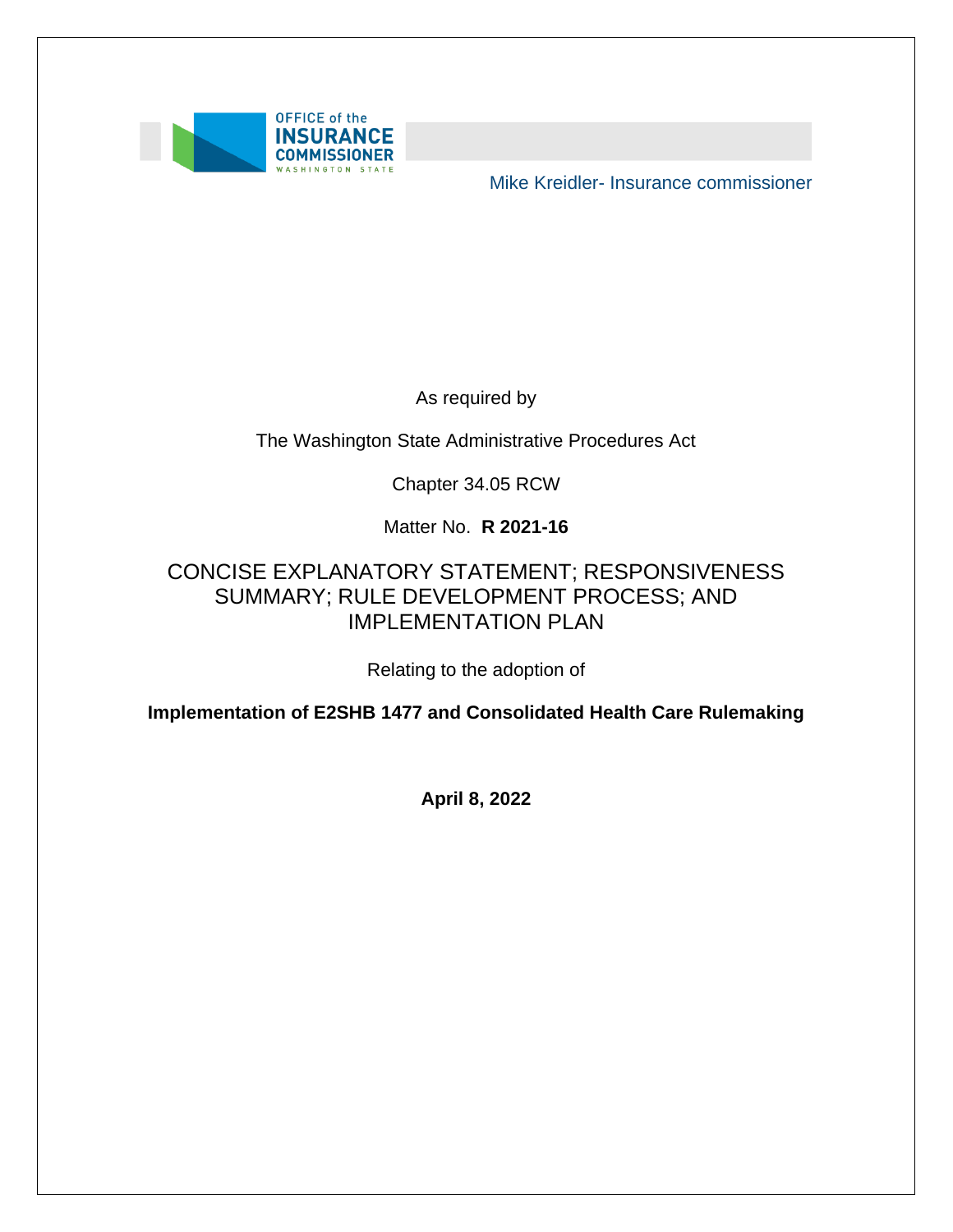

Mike Kreidler- Insurance commissioner

As required by

The Washington State Administrative Procedures Act

Chapter 34.05 RCW

Matter No. **R 2021-16** 

### SUMMARY; RULE DEVELOPMENT PROCESS; AND CONCISE EXPLANATORY STATEMENT; RESPONSIVENESS IMPLEMENTATION PLAN

Relating to the adoption of

**Implementation of E2SHB 1477 and Consolidated Health Care Rulemaking** 

**April 8, 2022**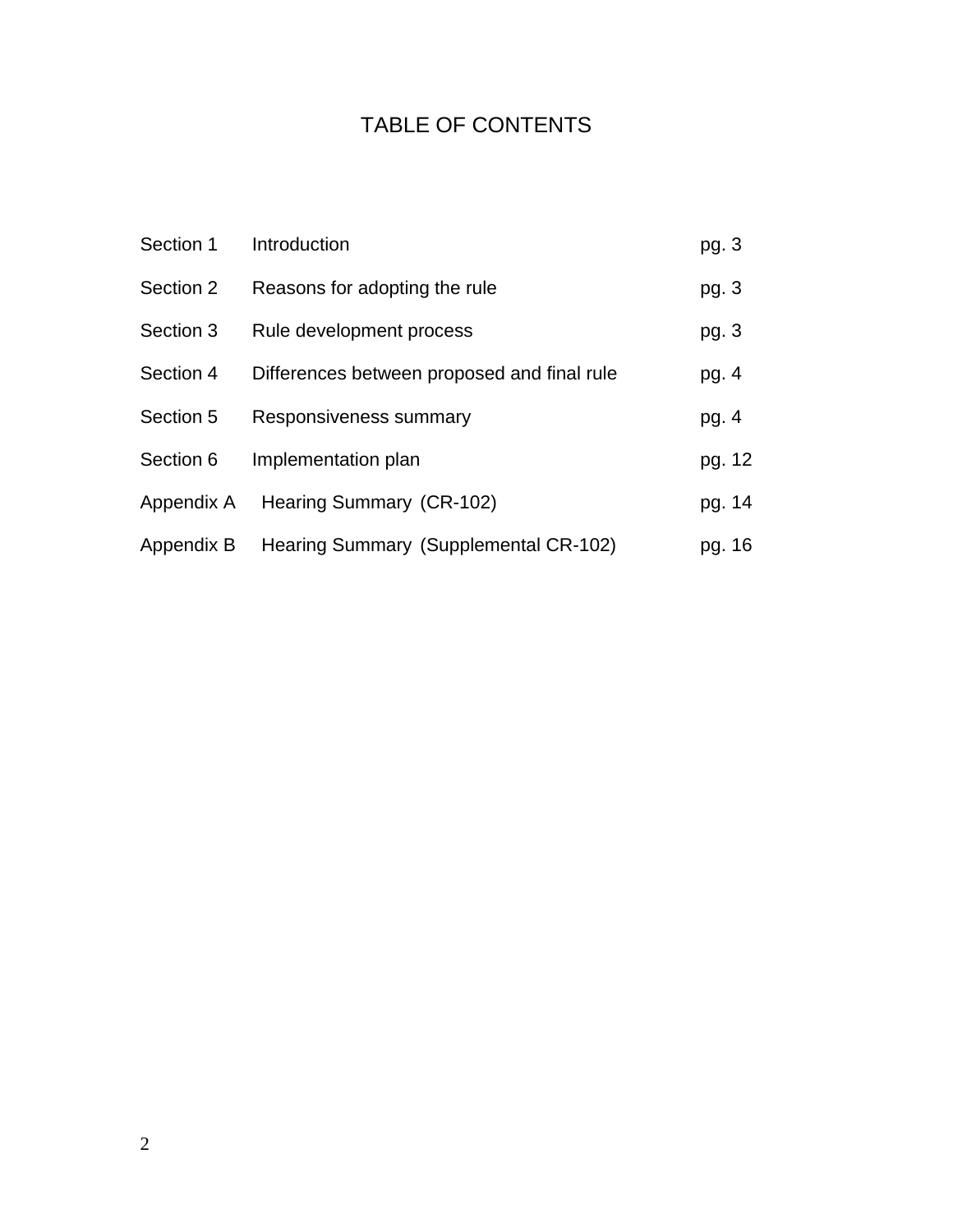### TABLE OF CONTENTS

| Section 1  | Introduction                                | pg. 3  |
|------------|---------------------------------------------|--------|
| Section 2  | Reasons for adopting the rule               | pg. 3  |
| Section 3  | Rule development process                    | pg. 3  |
| Section 4  | Differences between proposed and final rule | pg. 4  |
| Section 5  | Responsiveness summary                      | pg. 4  |
| Section 6  | Implementation plan                         | pg. 12 |
| Appendix A | Hearing Summary (CR-102)                    | pg. 14 |
| Appendix B | Hearing Summary (Supplemental CR-102)       | pg. 16 |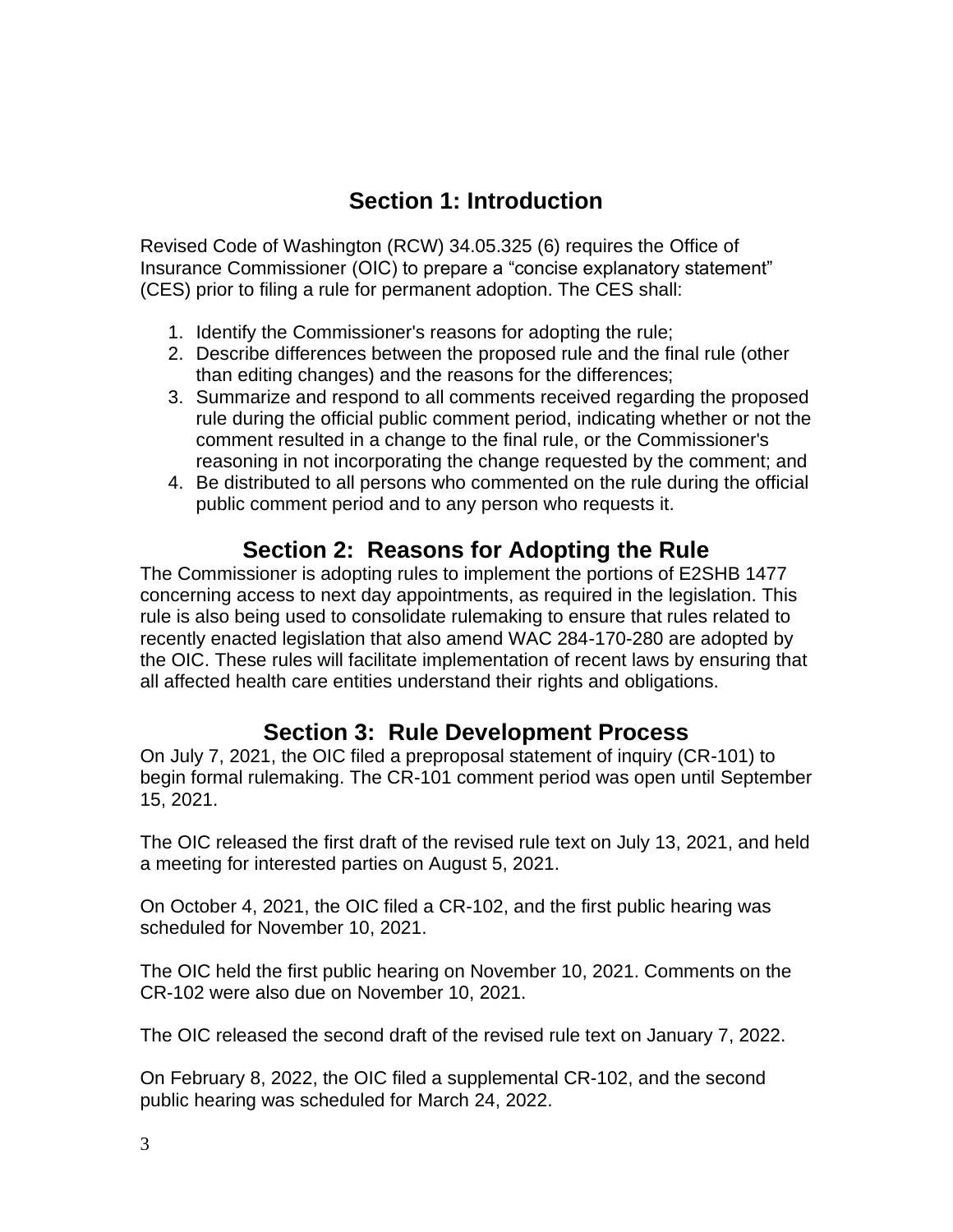## **Section 1: Introduction**

Revised Code of Washington (RCW) 34.05.325 (6) requires the Office of Insurance Commissioner (OIC) to prepare a "concise explanatory statement" (CES) prior to filing a rule for permanent adoption. The CES shall:

- 1. Identify the Commissioner's reasons for adopting the rule;
- 2. Describe differences between the proposed rule and the final rule (other than editing changes) and the reasons for the differences;
- 3. Summarize and respond to all comments received regarding the proposed rule during the official public comment period, indicating whether or not the comment resulted in a change to the final rule, or the Commissioner's reasoning in not incorporating the change requested by the comment; and
- 4. Be distributed to all persons who commented on the rule during the official public comment period and to any person who requests it.

## **Section 2: Reasons for Adopting the Rule**

 rule is also being used to consolidate rulemaking to ensure that rules related to The Commissioner is adopting rules to implement the portions of E2SHB 1477 concerning access to next day appointments, as required in the legislation. This recently enacted legislation that also amend WAC 284-170-280 are adopted by the OIC. These rules will facilitate implementation of recent laws by ensuring that all affected health care entities understand their rights and obligations.

### **Section 3: Rule Development Process**

 begin formal rulemaking. The CR-101 comment period was open until September On July 7, 2021, the OIC filed a preproposal statement of inquiry (CR-101) to 15, 2021.

The OIC released the first draft of the revised rule text on July 13, 2021, and held a meeting for interested parties on August 5, 2021.

 On October 4, 2021, the OIC filed a CR-102, and the first public hearing was scheduled for November 10, 2021.

 CR-102 were also due on November 10, 2021. The OIC held the first public hearing on November 10, 2021. Comments on the

The OIC released the second draft of the revised rule text on January 7, 2022.

 On February 8, 2022, the OIC filed a supplemental CR-102, and the second public hearing was scheduled for March 24, 2022.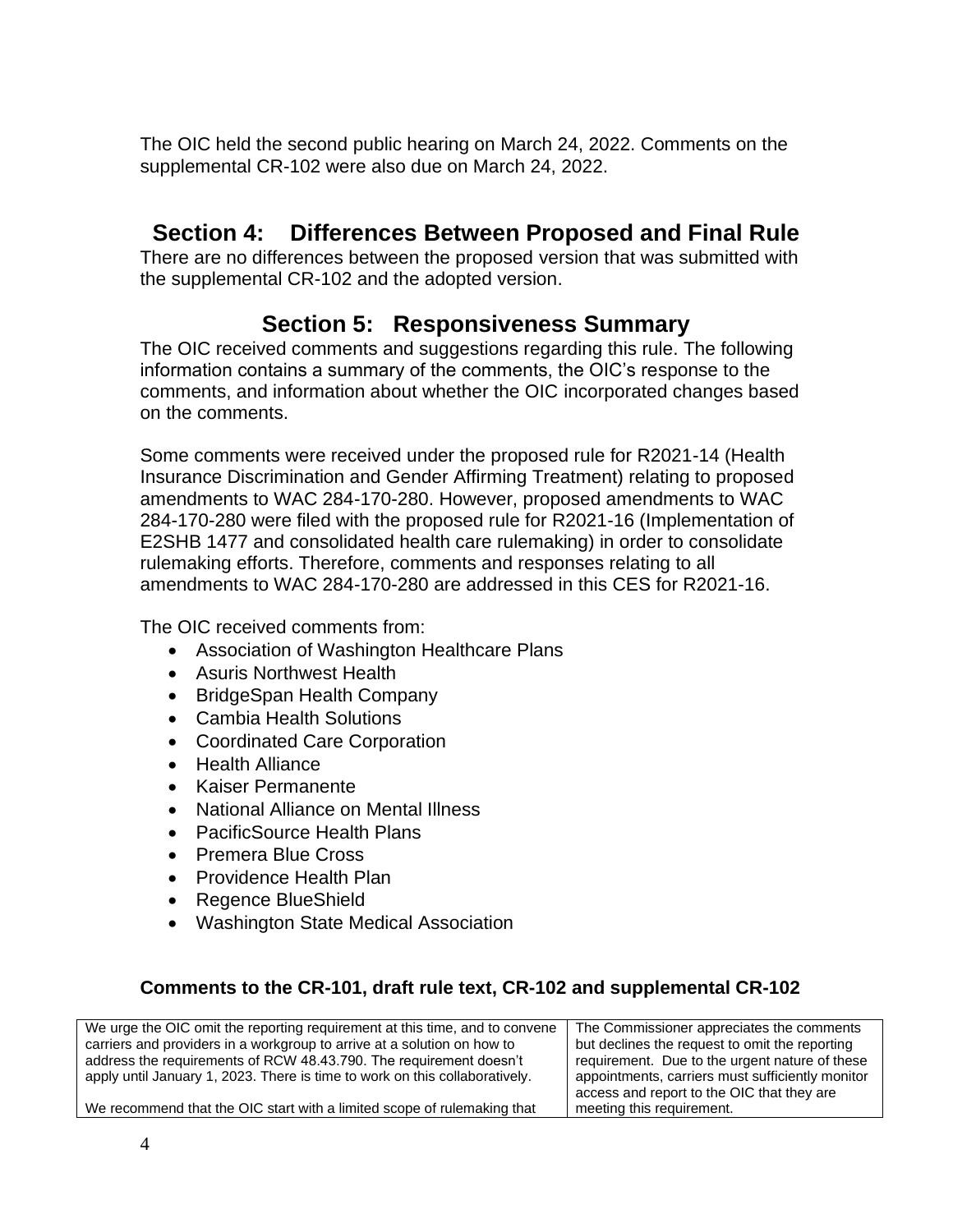The OIC held the second public hearing on March 24, 2022. Comments on the supplemental CR-102 were also due on March 24, 2022.

### **Section 4: Differences Between Proposed and Final Rule**

There are no differences between the proposed version that was submitted with the supplemental CR-102 and the adopted version.

## **Section 5: Responsiveness Summary**

 information contains a summary of the comments, the OIC's response to the The OIC received comments and suggestions regarding this rule. The following comments, and information about whether the OIC incorporated changes based on the comments.

 Some comments were received under the proposed rule for R2021-14 (Health Insurance Discrimination and Gender Affirming Treatment) relating to proposed amendments to WAC 284-170-280. However, proposed amendments to WAC 284-170-280 were filed with the proposed rule for R2021-16 (Implementation of E2SHB 1477 and consolidated health care rulemaking) in order to consolidate rulemaking efforts. Therefore, comments and responses relating to all amendments to WAC 284-170-280 are addressed in this CES for R2021-16.

The OIC received comments from:

- Association of Washington Healthcare Plans
- Asuris Northwest Health
- BridgeSpan Health Company
- Cambia Health Solutions
- Coordinated Care Corporation
- Health Alliance
- Kaiser Permanente
- National Alliance on Mental Illness
- PacificSource Health Plans
- Premera Blue Cross
- Providence Health Plan
- Regence BlueShield
- Washington State Medical Association

#### **Comments to the CR-101, draft rule text, CR-102 and supplemental CR-102**

| We urge the OIC omit the reporting requirement at this time, and to convene | The Commissioner appreciates the comments        |
|-----------------------------------------------------------------------------|--------------------------------------------------|
| carriers and providers in a workgroup to arrive at a solution on how to     | but declines the request to omit the reporting   |
| address the requirements of RCW 48.43.790. The requirement doesn't          | requirement. Due to the urgent nature of these   |
| apply until January 1, 2023. There is time to work on this collaboratively. | appointments, carriers must sufficiently monitor |
|                                                                             | access and report to the OIC that they are       |
| We recommend that the OIC start with a limited scope of rulemaking that     | meeting this requirement.                        |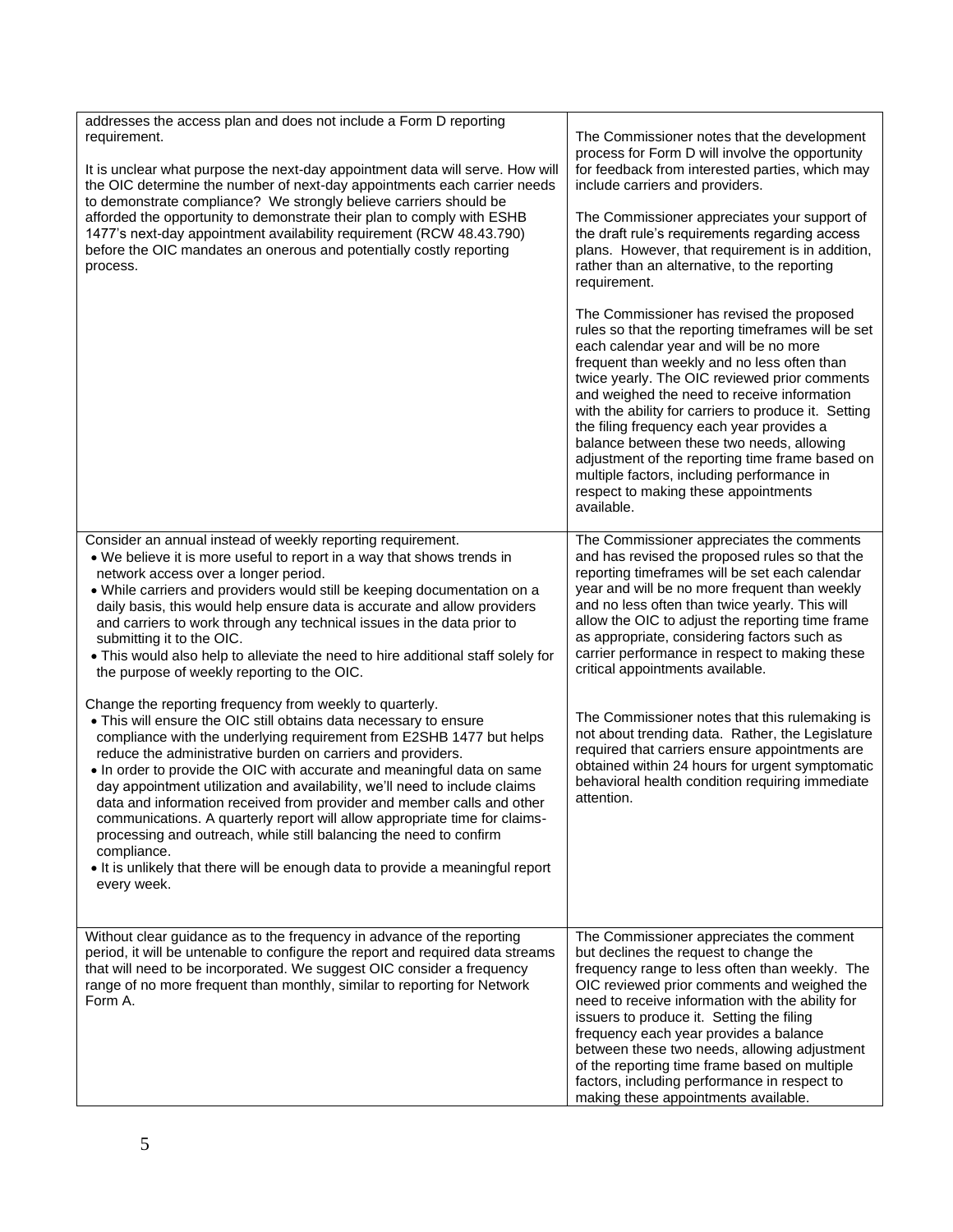| addresses the access plan and does not include a Form D reporting<br>requirement.<br>It is unclear what purpose the next-day appointment data will serve. How will<br>the OIC determine the number of next-day appointments each carrier needs<br>to demonstrate compliance? We strongly believe carriers should be<br>afforded the opportunity to demonstrate their plan to comply with ESHB<br>1477's next-day appointment availability requirement (RCW 48.43.790)<br>before the OIC mandates an onerous and potentially costly reporting<br>process.                                                                                                                                                                                                                                                                                                                                                                                                                                                                                                                                                                                                                                                                                                                                                                                                       | The Commissioner notes that the development<br>process for Form D will involve the opportunity<br>for feedback from interested parties, which may<br>include carriers and providers.<br>The Commissioner appreciates your support of<br>the draft rule's requirements regarding access<br>plans. However, that requirement is in addition,<br>rather than an alternative, to the reporting<br>requirement.<br>The Commissioner has revised the proposed<br>rules so that the reporting timeframes will be set<br>each calendar year and will be no more<br>frequent than weekly and no less often than<br>twice yearly. The OIC reviewed prior comments<br>and weighed the need to receive information<br>with the ability for carriers to produce it. Setting<br>the filing frequency each year provides a<br>balance between these two needs, allowing<br>adjustment of the reporting time frame based on<br>multiple factors, including performance in<br>respect to making these appointments<br>available. |
|----------------------------------------------------------------------------------------------------------------------------------------------------------------------------------------------------------------------------------------------------------------------------------------------------------------------------------------------------------------------------------------------------------------------------------------------------------------------------------------------------------------------------------------------------------------------------------------------------------------------------------------------------------------------------------------------------------------------------------------------------------------------------------------------------------------------------------------------------------------------------------------------------------------------------------------------------------------------------------------------------------------------------------------------------------------------------------------------------------------------------------------------------------------------------------------------------------------------------------------------------------------------------------------------------------------------------------------------------------------|-----------------------------------------------------------------------------------------------------------------------------------------------------------------------------------------------------------------------------------------------------------------------------------------------------------------------------------------------------------------------------------------------------------------------------------------------------------------------------------------------------------------------------------------------------------------------------------------------------------------------------------------------------------------------------------------------------------------------------------------------------------------------------------------------------------------------------------------------------------------------------------------------------------------------------------------------------------------------------------------------------------------|
| Consider an annual instead of weekly reporting requirement.<br>. We believe it is more useful to report in a way that shows trends in<br>network access over a longer period.<br>. While carriers and providers would still be keeping documentation on a<br>daily basis, this would help ensure data is accurate and allow providers<br>and carriers to work through any technical issues in the data prior to<br>submitting it to the OIC.<br>. This would also help to alleviate the need to hire additional staff solely for<br>the purpose of weekly reporting to the OIC.<br>Change the reporting frequency from weekly to quarterly.<br>. This will ensure the OIC still obtains data necessary to ensure<br>compliance with the underlying requirement from E2SHB 1477 but helps<br>reduce the administrative burden on carriers and providers.<br>. In order to provide the OIC with accurate and meaningful data on same<br>day appointment utilization and availability, we'll need to include claims<br>data and information received from provider and member calls and other<br>communications. A quarterly report will allow appropriate time for claims-<br>processing and outreach, while still balancing the need to confirm<br>compliance.<br>. It is unlikely that there will be enough data to provide a meaningful report<br>every week. | The Commissioner appreciates the comments<br>and has revised the proposed rules so that the<br>reporting timeframes will be set each calendar<br>year and will be no more frequent than weekly<br>and no less often than twice yearly. This will<br>allow the OIC to adjust the reporting time frame<br>as appropriate, considering factors such as<br>carrier performance in respect to making these<br>critical appointments available.<br>The Commissioner notes that this rulemaking is<br>not about trending data. Rather, the Legislature<br>required that carriers ensure appointments are<br>obtained within 24 hours for urgent symptomatic<br>behavioral health condition requiring immediate<br>attention.                                                                                                                                                                                                                                                                                           |
| Without clear guidance as to the frequency in advance of the reporting<br>period, it will be untenable to configure the report and required data streams<br>that will need to be incorporated. We suggest OIC consider a frequency<br>range of no more frequent than monthly, similar to reporting for Network<br>Form A.                                                                                                                                                                                                                                                                                                                                                                                                                                                                                                                                                                                                                                                                                                                                                                                                                                                                                                                                                                                                                                      | The Commissioner appreciates the comment<br>but declines the request to change the<br>frequency range to less often than weekly. The<br>OIC reviewed prior comments and weighed the<br>need to receive information with the ability for<br>issuers to produce it. Setting the filing<br>frequency each year provides a balance<br>between these two needs, allowing adjustment<br>of the reporting time frame based on multiple<br>factors, including performance in respect to<br>making these appointments available.                                                                                                                                                                                                                                                                                                                                                                                                                                                                                         |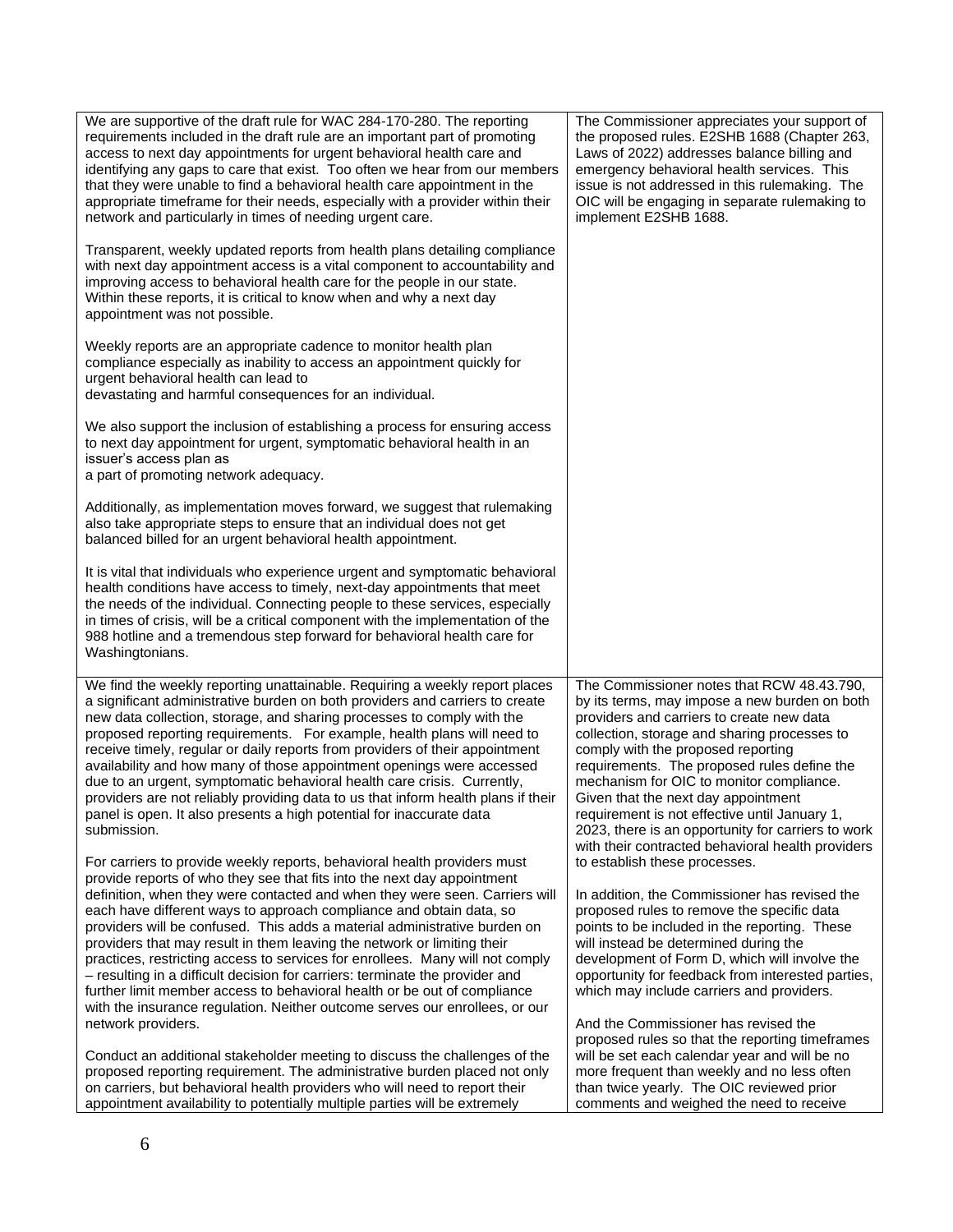| We are supportive of the draft rule for WAC 284-170-280. The reporting<br>requirements included in the draft rule are an important part of promoting<br>access to next day appointments for urgent behavioral health care and<br>identifying any gaps to care that exist. Too often we hear from our members<br>that they were unable to find a behavioral health care appointment in the<br>appropriate timeframe for their needs, especially with a provider within their<br>network and particularly in times of needing urgent care.                                                                                                                                                                                                                                                      | The Commissioner appreciates your support of<br>the proposed rules. E2SHB 1688 (Chapter 263,<br>Laws of 2022) addresses balance billing and<br>emergency behavioral health services. This<br>issue is not addressed in this rulemaking. The<br>OIC will be engaging in separate rulemaking to<br>implement E2SHB 1688.                                                                                                                                                                                                       |
|-----------------------------------------------------------------------------------------------------------------------------------------------------------------------------------------------------------------------------------------------------------------------------------------------------------------------------------------------------------------------------------------------------------------------------------------------------------------------------------------------------------------------------------------------------------------------------------------------------------------------------------------------------------------------------------------------------------------------------------------------------------------------------------------------|------------------------------------------------------------------------------------------------------------------------------------------------------------------------------------------------------------------------------------------------------------------------------------------------------------------------------------------------------------------------------------------------------------------------------------------------------------------------------------------------------------------------------|
| Transparent, weekly updated reports from health plans detailing compliance<br>with next day appointment access is a vital component to accountability and<br>improving access to behavioral health care for the people in our state.<br>Within these reports, it is critical to know when and why a next day<br>appointment was not possible.                                                                                                                                                                                                                                                                                                                                                                                                                                                 |                                                                                                                                                                                                                                                                                                                                                                                                                                                                                                                              |
| Weekly reports are an appropriate cadence to monitor health plan<br>compliance especially as inability to access an appointment quickly for<br>urgent behavioral health can lead to<br>devastating and harmful consequences for an individual.                                                                                                                                                                                                                                                                                                                                                                                                                                                                                                                                                |                                                                                                                                                                                                                                                                                                                                                                                                                                                                                                                              |
| We also support the inclusion of establishing a process for ensuring access<br>to next day appointment for urgent, symptomatic behavioral health in an<br>issuer's access plan as<br>a part of promoting network adequacy.                                                                                                                                                                                                                                                                                                                                                                                                                                                                                                                                                                    |                                                                                                                                                                                                                                                                                                                                                                                                                                                                                                                              |
| Additionally, as implementation moves forward, we suggest that rulemaking<br>also take appropriate steps to ensure that an individual does not get<br>balanced billed for an urgent behavioral health appointment.                                                                                                                                                                                                                                                                                                                                                                                                                                                                                                                                                                            |                                                                                                                                                                                                                                                                                                                                                                                                                                                                                                                              |
| It is vital that individuals who experience urgent and symptomatic behavioral<br>health conditions have access to timely, next-day appointments that meet<br>the needs of the individual. Connecting people to these services, especially<br>in times of crisis, will be a critical component with the implementation of the<br>988 hotline and a tremendous step forward for behavioral health care for<br>Washingtonians.                                                                                                                                                                                                                                                                                                                                                                   |                                                                                                                                                                                                                                                                                                                                                                                                                                                                                                                              |
| We find the weekly reporting unattainable. Requiring a weekly report places<br>a significant administrative burden on both providers and carriers to create<br>new data collection, storage, and sharing processes to comply with the<br>proposed reporting requirements. For example, health plans will need to<br>receive timely, regular or daily reports from providers of their appointment<br>availability and how many of those appointment openings were accessed<br>due to an urgent, symptomatic behavioral health care crisis. Currently,<br>providers are not reliably providing data to us that inform health plans if their<br>panel is open. It also presents a high potential for inaccurate data<br>submission.                                                              | The Commissioner notes that RCW 48.43.790,<br>by its terms, may impose a new burden on both<br>providers and carriers to create new data<br>collection, storage and sharing processes to<br>comply with the proposed reporting<br>requirements. The proposed rules define the<br>mechanism for OIC to monitor compliance.<br>Given that the next day appointment<br>requirement is not effective until January 1,<br>2023, there is an opportunity for carriers to work<br>with their contracted behavioral health providers |
| For carriers to provide weekly reports, behavioral health providers must<br>provide reports of who they see that fits into the next day appointment<br>definition, when they were contacted and when they were seen. Carriers will<br>each have different ways to approach compliance and obtain data, so<br>providers will be confused. This adds a material administrative burden on<br>providers that may result in them leaving the network or limiting their<br>practices, restricting access to services for enrollees. Many will not comply<br>- resulting in a difficult decision for carriers: terminate the provider and<br>further limit member access to behavioral health or be out of compliance<br>with the insurance regulation. Neither outcome serves our enrollees, or our | to establish these processes.<br>In addition, the Commissioner has revised the<br>proposed rules to remove the specific data<br>points to be included in the reporting. These<br>will instead be determined during the<br>development of Form D, which will involve the<br>opportunity for feedback from interested parties,<br>which may include carriers and providers.                                                                                                                                                    |
| network providers.<br>Conduct an additional stakeholder meeting to discuss the challenges of the<br>proposed reporting requirement. The administrative burden placed not only<br>on carriers, but behavioral health providers who will need to report their                                                                                                                                                                                                                                                                                                                                                                                                                                                                                                                                   | And the Commissioner has revised the<br>proposed rules so that the reporting timeframes<br>will be set each calendar year and will be no<br>more frequent than weekly and no less often<br>than twice yearly. The OIC reviewed prior                                                                                                                                                                                                                                                                                         |
| appointment availability to potentially multiple parties will be extremely                                                                                                                                                                                                                                                                                                                                                                                                                                                                                                                                                                                                                                                                                                                    | comments and weighed the need to receive                                                                                                                                                                                                                                                                                                                                                                                                                                                                                     |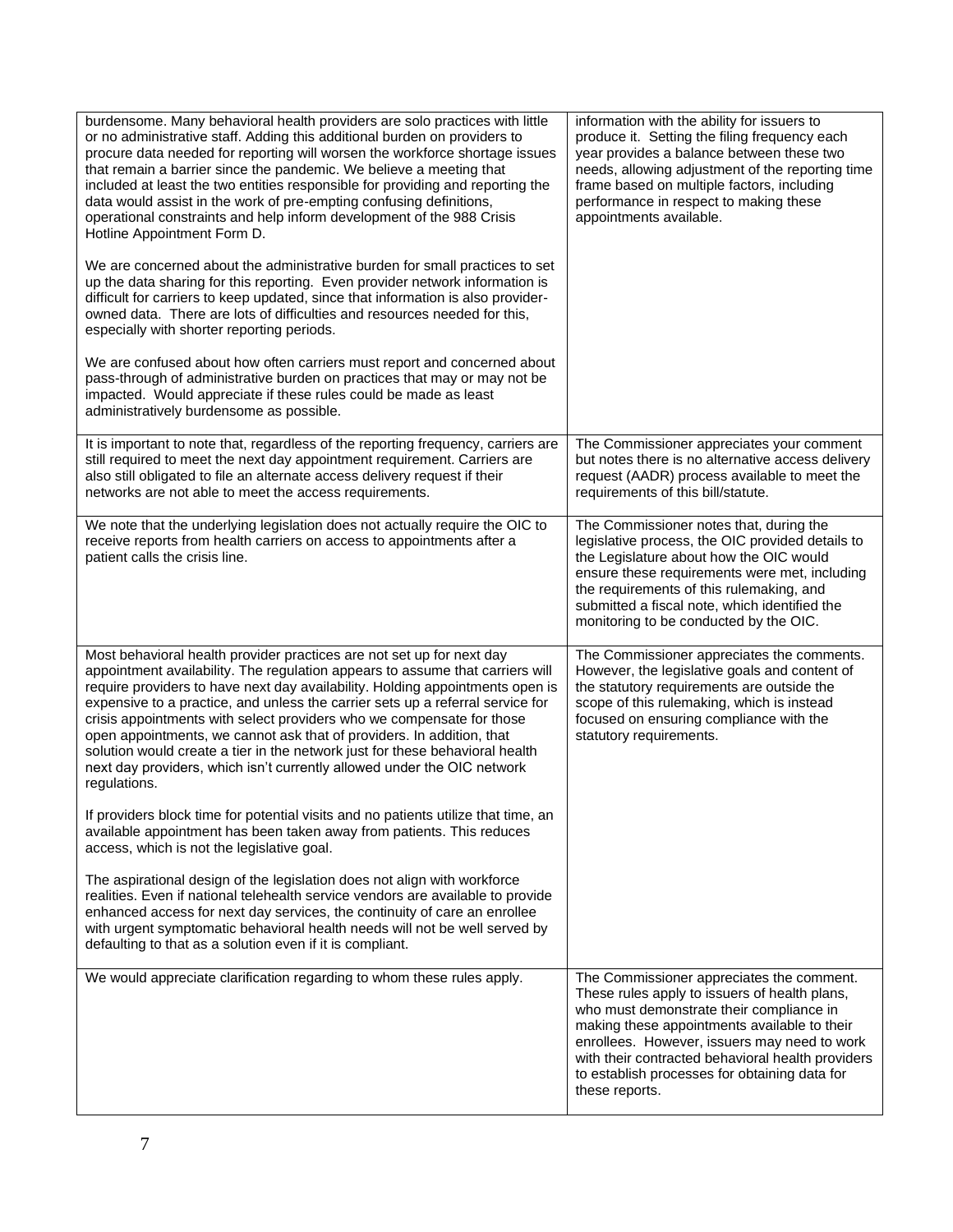| burdensome. Many behavioral health providers are solo practices with little<br>or no administrative staff. Adding this additional burden on providers to<br>procure data needed for reporting will worsen the workforce shortage issues<br>that remain a barrier since the pandemic. We believe a meeting that<br>included at least the two entities responsible for providing and reporting the<br>data would assist in the work of pre-empting confusing definitions,<br>operational constraints and help inform development of the 988 Crisis<br>Hotline Appointment Form D.<br>We are concerned about the administrative burden for small practices to set | information with the ability for issuers to<br>produce it. Setting the filing frequency each<br>year provides a balance between these two<br>needs, allowing adjustment of the reporting time<br>frame based on multiple factors, including<br>performance in respect to making these<br>appointments available.                                               |
|----------------------------------------------------------------------------------------------------------------------------------------------------------------------------------------------------------------------------------------------------------------------------------------------------------------------------------------------------------------------------------------------------------------------------------------------------------------------------------------------------------------------------------------------------------------------------------------------------------------------------------------------------------------|----------------------------------------------------------------------------------------------------------------------------------------------------------------------------------------------------------------------------------------------------------------------------------------------------------------------------------------------------------------|
| up the data sharing for this reporting. Even provider network information is<br>difficult for carriers to keep updated, since that information is also provider-<br>owned data. There are lots of difficulties and resources needed for this,<br>especially with shorter reporting periods.                                                                                                                                                                                                                                                                                                                                                                    |                                                                                                                                                                                                                                                                                                                                                                |
| We are confused about how often carriers must report and concerned about<br>pass-through of administrative burden on practices that may or may not be<br>impacted. Would appreciate if these rules could be made as least<br>administratively burdensome as possible.                                                                                                                                                                                                                                                                                                                                                                                          |                                                                                                                                                                                                                                                                                                                                                                |
| It is important to note that, regardless of the reporting frequency, carriers are<br>still required to meet the next day appointment requirement. Carriers are<br>also still obligated to file an alternate access delivery request if their<br>networks are not able to meet the access requirements.                                                                                                                                                                                                                                                                                                                                                         | The Commissioner appreciates your comment<br>but notes there is no alternative access delivery<br>request (AADR) process available to meet the<br>requirements of this bill/statute.                                                                                                                                                                           |
| We note that the underlying legislation does not actually require the OIC to<br>receive reports from health carriers on access to appointments after a<br>patient calls the crisis line.                                                                                                                                                                                                                                                                                                                                                                                                                                                                       | The Commissioner notes that, during the<br>legislative process, the OIC provided details to<br>the Legislature about how the OIC would<br>ensure these requirements were met, including<br>the requirements of this rulemaking, and<br>submitted a fiscal note, which identified the<br>monitoring to be conducted by the OIC.                                 |
| Most behavioral health provider practices are not set up for next day<br>appointment availability. The regulation appears to assume that carriers will<br>require providers to have next day availability. Holding appointments open is<br>expensive to a practice, and unless the carrier sets up a referral service for<br>crisis appointments with select providers who we compensate for those<br>open appointments, we cannot ask that of providers. In addition, that<br>solution would create a tier in the network just for these behavioral health<br>next day providers, which isn't currently allowed under the OIC network<br>regulations.         | The Commissioner appreciates the comments.<br>However, the legislative goals and content of<br>the statutory requirements are outside the<br>scope of this rulemaking, which is instead<br>focused on ensuring compliance with the<br>statutory requirements.                                                                                                  |
| If providers block time for potential visits and no patients utilize that time, an<br>available appointment has been taken away from patients. This reduces<br>access, which is not the legislative goal.                                                                                                                                                                                                                                                                                                                                                                                                                                                      |                                                                                                                                                                                                                                                                                                                                                                |
| The aspirational design of the legislation does not align with workforce<br>realities. Even if national telehealth service vendors are available to provide<br>enhanced access for next day services, the continuity of care an enrollee<br>with urgent symptomatic behavioral health needs will not be well served by<br>defaulting to that as a solution even if it is compliant.                                                                                                                                                                                                                                                                            |                                                                                                                                                                                                                                                                                                                                                                |
| We would appreciate clarification regarding to whom these rules apply.                                                                                                                                                                                                                                                                                                                                                                                                                                                                                                                                                                                         | The Commissioner appreciates the comment.<br>These rules apply to issuers of health plans,<br>who must demonstrate their compliance in<br>making these appointments available to their<br>enrollees. However, issuers may need to work<br>with their contracted behavioral health providers<br>to establish processes for obtaining data for<br>these reports. |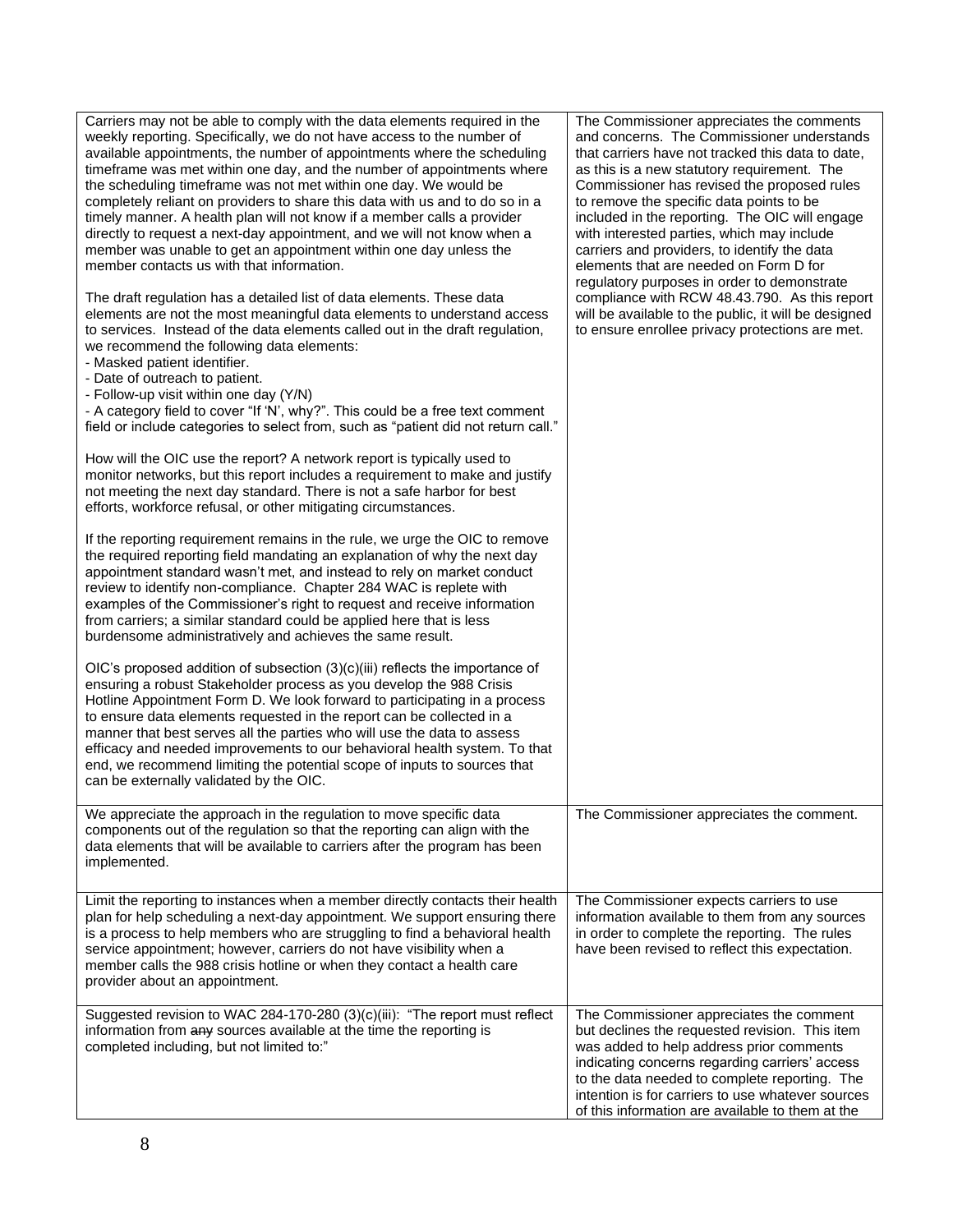| Carriers may not be able to comply with the data elements required in the<br>weekly reporting. Specifically, we do not have access to the number of<br>available appointments, the number of appointments where the scheduling<br>timeframe was met within one day, and the number of appointments where<br>the scheduling timeframe was not met within one day. We would be<br>completely reliant on providers to share this data with us and to do so in a<br>timely manner. A health plan will not know if a member calls a provider<br>directly to request a next-day appointment, and we will not know when a<br>member was unable to get an appointment within one day unless the<br>member contacts us with that information.<br>The draft regulation has a detailed list of data elements. These data<br>elements are not the most meaningful data elements to understand access<br>to services. Instead of the data elements called out in the draft regulation,<br>we recommend the following data elements:<br>- Masked patient identifier.<br>- Date of outreach to patient.<br>- Follow-up visit within one day (Y/N)<br>- A category field to cover "If 'N', why?". This could be a free text comment<br>field or include categories to select from, such as "patient did not return call."<br>How will the OIC use the report? A network report is typically used to<br>monitor networks, but this report includes a requirement to make and justify<br>not meeting the next day standard. There is not a safe harbor for best<br>efforts, workforce refusal, or other mitigating circumstances.<br>If the reporting requirement remains in the rule, we urge the OIC to remove<br>the required reporting field mandating an explanation of why the next day<br>appointment standard wasn't met, and instead to rely on market conduct<br>review to identify non-compliance. Chapter 284 WAC is replete with<br>examples of the Commissioner's right to request and receive information<br>from carriers; a similar standard could be applied here that is less<br>burdensome administratively and achieves the same result.<br>OIC's proposed addition of subsection $(3)(c)(iii)$ reflects the importance of<br>ensuring a robust Stakeholder process as you develop the 988 Crisis<br>Hotline Appointment Form D. We look forward to participating in a process<br>to ensure data elements requested in the report can be collected in a<br>manner that best serves all the parties who will use the data to assess<br>efficacy and needed improvements to our behavioral health system. To that<br>end, we recommend limiting the potential scope of inputs to sources that<br>can be externally validated by the OIC. | The Commissioner appreciates the comments<br>and concerns. The Commissioner understands<br>that carriers have not tracked this data to date.<br>as this is a new statutory requirement. The<br>Commissioner has revised the proposed rules<br>to remove the specific data points to be<br>included in the reporting. The OIC will engage<br>with interested parties, which may include<br>carriers and providers, to identify the data<br>elements that are needed on Form D for<br>regulatory purposes in order to demonstrate<br>compliance with RCW 48.43.790. As this report<br>will be available to the public, it will be designed<br>to ensure enrollee privacy protections are met. |
|-------------------------------------------------------------------------------------------------------------------------------------------------------------------------------------------------------------------------------------------------------------------------------------------------------------------------------------------------------------------------------------------------------------------------------------------------------------------------------------------------------------------------------------------------------------------------------------------------------------------------------------------------------------------------------------------------------------------------------------------------------------------------------------------------------------------------------------------------------------------------------------------------------------------------------------------------------------------------------------------------------------------------------------------------------------------------------------------------------------------------------------------------------------------------------------------------------------------------------------------------------------------------------------------------------------------------------------------------------------------------------------------------------------------------------------------------------------------------------------------------------------------------------------------------------------------------------------------------------------------------------------------------------------------------------------------------------------------------------------------------------------------------------------------------------------------------------------------------------------------------------------------------------------------------------------------------------------------------------------------------------------------------------------------------------------------------------------------------------------------------------------------------------------------------------------------------------------------------------------------------------------------------------------------------------------------------------------------------------------------------------------------------------------------------------------------------------------------------------------------------------------------------------------------------------------------------------------------------------------------------------------------------------------------------------------------------------------------------------------------|---------------------------------------------------------------------------------------------------------------------------------------------------------------------------------------------------------------------------------------------------------------------------------------------------------------------------------------------------------------------------------------------------------------------------------------------------------------------------------------------------------------------------------------------------------------------------------------------------------------------------------------------------------------------------------------------|
| We appreciate the approach in the regulation to move specific data<br>components out of the regulation so that the reporting can align with the<br>data elements that will be available to carriers after the program has been<br>implemented.                                                                                                                                                                                                                                                                                                                                                                                                                                                                                                                                                                                                                                                                                                                                                                                                                                                                                                                                                                                                                                                                                                                                                                                                                                                                                                                                                                                                                                                                                                                                                                                                                                                                                                                                                                                                                                                                                                                                                                                                                                                                                                                                                                                                                                                                                                                                                                                                                                                                                            | The Commissioner appreciates the comment.                                                                                                                                                                                                                                                                                                                                                                                                                                                                                                                                                                                                                                                   |
| Limit the reporting to instances when a member directly contacts their health<br>plan for help scheduling a next-day appointment. We support ensuring there<br>is a process to help members who are struggling to find a behavioral health<br>service appointment; however, carriers do not have visibility when a<br>member calls the 988 crisis hotline or when they contact a health care<br>provider about an appointment.                                                                                                                                                                                                                                                                                                                                                                                                                                                                                                                                                                                                                                                                                                                                                                                                                                                                                                                                                                                                                                                                                                                                                                                                                                                                                                                                                                                                                                                                                                                                                                                                                                                                                                                                                                                                                                                                                                                                                                                                                                                                                                                                                                                                                                                                                                            | The Commissioner expects carriers to use<br>information available to them from any sources<br>in order to complete the reporting. The rules<br>have been revised to reflect this expectation.                                                                                                                                                                                                                                                                                                                                                                                                                                                                                               |
| Suggested revision to WAC 284-170-280 (3)(c)(iii): "The report must reflect<br>information from any sources available at the time the reporting is<br>completed including, but not limited to:"                                                                                                                                                                                                                                                                                                                                                                                                                                                                                                                                                                                                                                                                                                                                                                                                                                                                                                                                                                                                                                                                                                                                                                                                                                                                                                                                                                                                                                                                                                                                                                                                                                                                                                                                                                                                                                                                                                                                                                                                                                                                                                                                                                                                                                                                                                                                                                                                                                                                                                                                           | The Commissioner appreciates the comment<br>but declines the requested revision. This item<br>was added to help address prior comments<br>indicating concerns regarding carriers' access<br>to the data needed to complete reporting. The<br>intention is for carriers to use whatever sources<br>of this information are available to them at the                                                                                                                                                                                                                                                                                                                                          |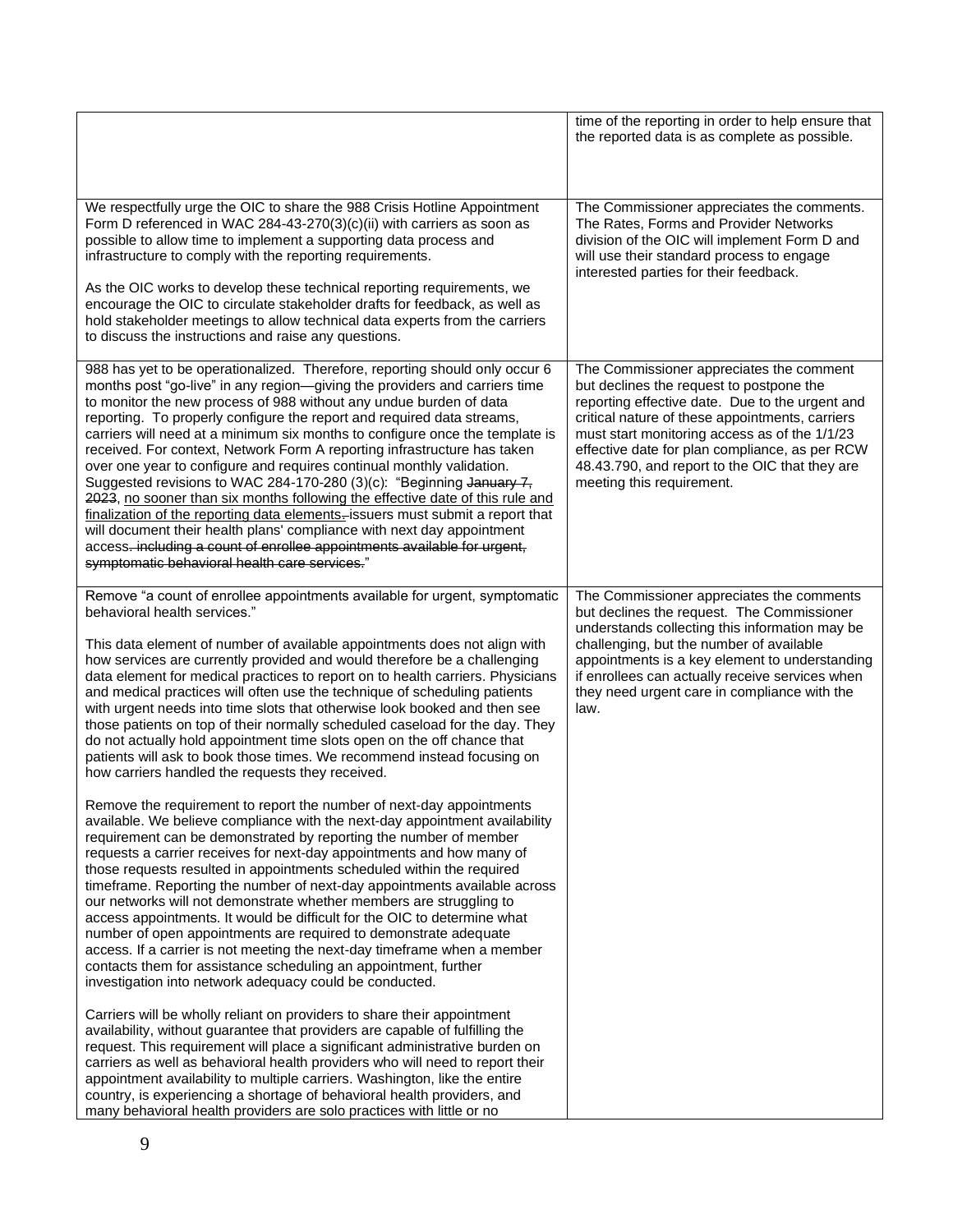|                                                                                                                                                                                                                                                                                                                                                                                                                                                                                                                                                                                                                                                                                                                                                                                                                                                                                                                                                                                                | time of the reporting in order to help ensure that<br>the reported data is as complete as possible.                                                                                                                                                                                                                                                                          |
|------------------------------------------------------------------------------------------------------------------------------------------------------------------------------------------------------------------------------------------------------------------------------------------------------------------------------------------------------------------------------------------------------------------------------------------------------------------------------------------------------------------------------------------------------------------------------------------------------------------------------------------------------------------------------------------------------------------------------------------------------------------------------------------------------------------------------------------------------------------------------------------------------------------------------------------------------------------------------------------------|------------------------------------------------------------------------------------------------------------------------------------------------------------------------------------------------------------------------------------------------------------------------------------------------------------------------------------------------------------------------------|
| We respectfully urge the OIC to share the 988 Crisis Hotline Appointment<br>Form D referenced in WAC 284-43-270(3)(c)(ii) with carriers as soon as<br>possible to allow time to implement a supporting data process and<br>infrastructure to comply with the reporting requirements.<br>As the OIC works to develop these technical reporting requirements, we<br>encourage the OIC to circulate stakeholder drafts for feedback, as well as<br>hold stakeholder meetings to allow technical data experts from the carriers<br>to discuss the instructions and raise any questions.                                                                                                                                                                                                                                                                                                                                                                                                            | The Commissioner appreciates the comments.<br>The Rates, Forms and Provider Networks<br>division of the OIC will implement Form D and<br>will use their standard process to engage<br>interested parties for their feedback.                                                                                                                                                 |
| 988 has yet to be operationalized. Therefore, reporting should only occur 6<br>months post "go-live" in any region-giving the providers and carriers time<br>to monitor the new process of 988 without any undue burden of data<br>reporting. To properly configure the report and required data streams,<br>carriers will need at a minimum six months to configure once the template is<br>received. For context, Network Form A reporting infrastructure has taken<br>over one year to configure and requires continual monthly validation.<br>Suggested revisions to WAC 284-170-280 (3)(c): "Beginning January 7,<br>2023, no sooner than six months following the effective date of this rule and<br>finalization of the reporting data elements-issuers must submit a report that<br>will document their health plans' compliance with next day appointment<br>access-including a count of enrollee appointments available for urgent,<br>symptomatic behavioral health care services." | The Commissioner appreciates the comment<br>but declines the request to postpone the<br>reporting effective date. Due to the urgent and<br>critical nature of these appointments, carriers<br>must start monitoring access as of the 1/1/23<br>effective date for plan compliance, as per RCW<br>48.43.790, and report to the OIC that they are<br>meeting this requirement. |
| Remove "a count of enrollee appointments available for urgent, symptomatic<br>behavioral health services."<br>This data element of number of available appointments does not align with<br>how services are currently provided and would therefore be a challenging<br>data element for medical practices to report on to health carriers. Physicians<br>and medical practices will often use the technique of scheduling patients<br>with urgent needs into time slots that otherwise look booked and then see<br>those patients on top of their normally scheduled caseload for the day. They<br>do not actually hold appointment time slots open on the off chance that<br>patients will ask to book those times. We recommend instead focusing on<br>how carriers handled the requests they received.                                                                                                                                                                                      | The Commissioner appreciates the comments<br>but declines the request. The Commissioner<br>understands collecting this information may be<br>challenging, but the number of available<br>appointments is a key element to understanding<br>if enrollees can actually receive services when<br>they need urgent care in compliance with the<br>law.                           |
| Remove the requirement to report the number of next-day appointments<br>available. We believe compliance with the next-day appointment availability<br>requirement can be demonstrated by reporting the number of member<br>requests a carrier receives for next-day appointments and how many of<br>those requests resulted in appointments scheduled within the required<br>timeframe. Reporting the number of next-day appointments available across<br>our networks will not demonstrate whether members are struggling to<br>access appointments. It would be difficult for the OIC to determine what<br>number of open appointments are required to demonstrate adequate<br>access. If a carrier is not meeting the next-day timeframe when a member<br>contacts them for assistance scheduling an appointment, further<br>investigation into network adequacy could be conducted.                                                                                                       |                                                                                                                                                                                                                                                                                                                                                                              |
| Carriers will be wholly reliant on providers to share their appointment<br>availability, without guarantee that providers are capable of fulfilling the<br>request. This requirement will place a significant administrative burden on<br>carriers as well as behavioral health providers who will need to report their<br>appointment availability to multiple carriers. Washington, like the entire<br>country, is experiencing a shortage of behavioral health providers, and<br>many behavioral health providers are solo practices with little or no                                                                                                                                                                                                                                                                                                                                                                                                                                      |                                                                                                                                                                                                                                                                                                                                                                              |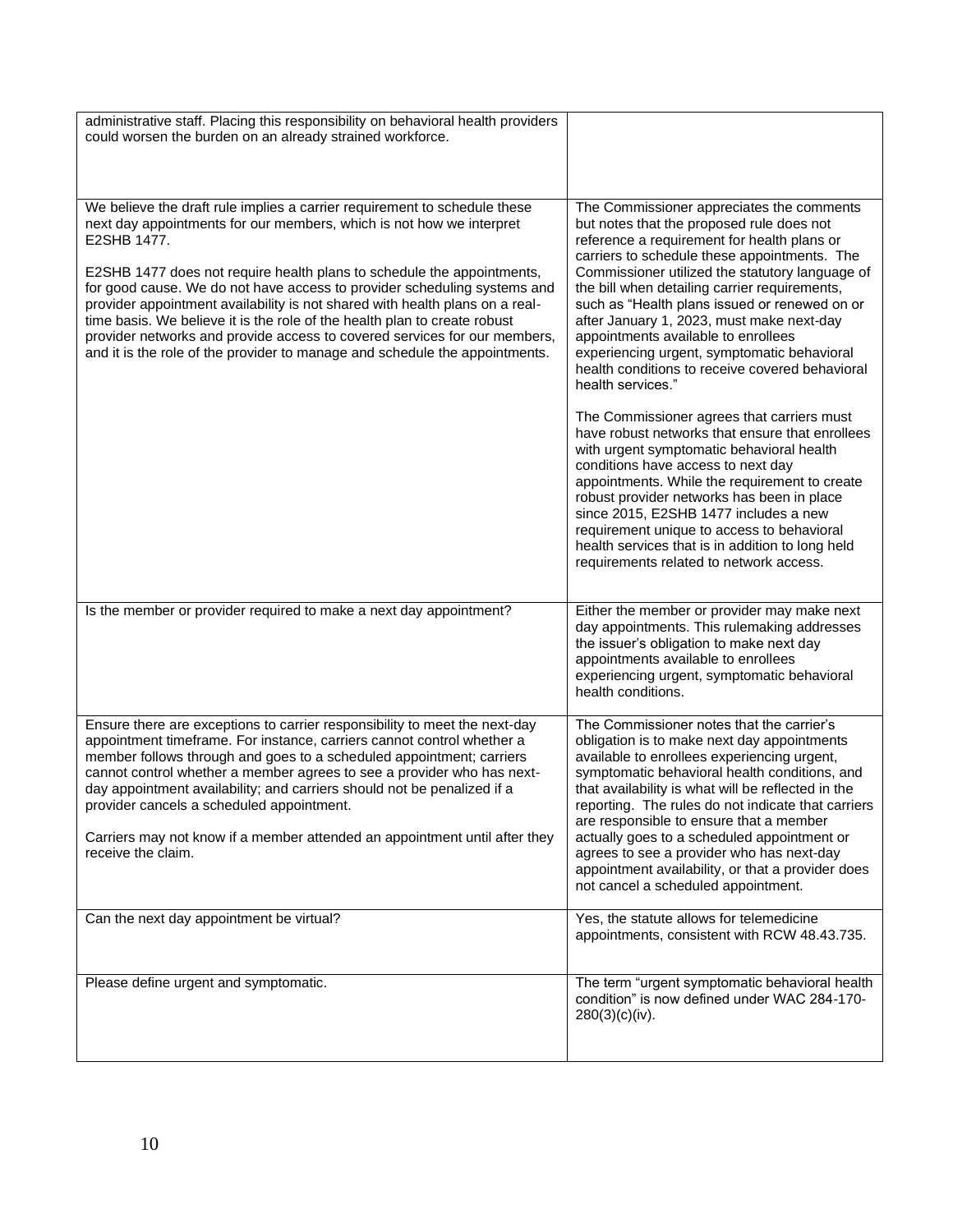| administrative staff. Placing this responsibility on behavioral health providers<br>could worsen the burden on an already strained workforce.                                                                                                                                                                                                                                                                                                                                                                                                                                                                                                   |                                                                                                                                                                                                                                                                                                                                                                                                                                                                                                                                                                                                                                                                                                                                                                                                                                                                                                                                                                                                                                |
|-------------------------------------------------------------------------------------------------------------------------------------------------------------------------------------------------------------------------------------------------------------------------------------------------------------------------------------------------------------------------------------------------------------------------------------------------------------------------------------------------------------------------------------------------------------------------------------------------------------------------------------------------|--------------------------------------------------------------------------------------------------------------------------------------------------------------------------------------------------------------------------------------------------------------------------------------------------------------------------------------------------------------------------------------------------------------------------------------------------------------------------------------------------------------------------------------------------------------------------------------------------------------------------------------------------------------------------------------------------------------------------------------------------------------------------------------------------------------------------------------------------------------------------------------------------------------------------------------------------------------------------------------------------------------------------------|
| We believe the draft rule implies a carrier requirement to schedule these<br>next day appointments for our members, which is not how we interpret<br>E2SHB 1477.<br>E2SHB 1477 does not require health plans to schedule the appointments,<br>for good cause. We do not have access to provider scheduling systems and<br>provider appointment availability is not shared with health plans on a real-<br>time basis. We believe it is the role of the health plan to create robust<br>provider networks and provide access to covered services for our members,<br>and it is the role of the provider to manage and schedule the appointments. | The Commissioner appreciates the comments<br>but notes that the proposed rule does not<br>reference a requirement for health plans or<br>carriers to schedule these appointments. The<br>Commissioner utilized the statutory language of<br>the bill when detailing carrier requirements,<br>such as "Health plans issued or renewed on or<br>after January 1, 2023, must make next-day<br>appointments available to enrollees<br>experiencing urgent, symptomatic behavioral<br>health conditions to receive covered behavioral<br>health services."<br>The Commissioner agrees that carriers must<br>have robust networks that ensure that enrollees<br>with urgent symptomatic behavioral health<br>conditions have access to next day<br>appointments. While the requirement to create<br>robust provider networks has been in place<br>since 2015, E2SHB 1477 includes a new<br>requirement unique to access to behavioral<br>health services that is in addition to long held<br>requirements related to network access. |
| Is the member or provider required to make a next day appointment?                                                                                                                                                                                                                                                                                                                                                                                                                                                                                                                                                                              | Either the member or provider may make next<br>day appointments. This rulemaking addresses<br>the issuer's obligation to make next day<br>appointments available to enrollees<br>experiencing urgent, symptomatic behavioral<br>health conditions.                                                                                                                                                                                                                                                                                                                                                                                                                                                                                                                                                                                                                                                                                                                                                                             |
| Ensure there are exceptions to carrier responsibility to meet the next-day<br>appointment timeframe. For instance, carriers cannot control whether a<br>member follows through and goes to a scheduled appointment; carriers<br>cannot control whether a member agrees to see a provider who has next-<br>day appointment availability; and carriers should not be penalized if a<br>provider cancels a scheduled appointment.<br>Carriers may not know if a member attended an appointment until after they<br>receive the claim.                                                                                                              | The Commissioner notes that the carrier's<br>obligation is to make next day appointments<br>available to enrollees experiencing urgent,<br>symptomatic behavioral health conditions, and<br>that availability is what will be reflected in the<br>reporting. The rules do not indicate that carriers<br>are responsible to ensure that a member<br>actually goes to a scheduled appointment or<br>agrees to see a provider who has next-day<br>appointment availability, or that a provider does<br>not cancel a scheduled appointment.                                                                                                                                                                                                                                                                                                                                                                                                                                                                                        |
| Can the next day appointment be virtual?                                                                                                                                                                                                                                                                                                                                                                                                                                                                                                                                                                                                        | Yes, the statute allows for telemedicine<br>appointments, consistent with RCW 48.43.735.                                                                                                                                                                                                                                                                                                                                                                                                                                                                                                                                                                                                                                                                                                                                                                                                                                                                                                                                       |
| Please define urgent and symptomatic.                                                                                                                                                                                                                                                                                                                                                                                                                                                                                                                                                                                                           | The term "urgent symptomatic behavioral health<br>condition" is now defined under WAC 284-170-<br>280(3)(c)(iv).                                                                                                                                                                                                                                                                                                                                                                                                                                                                                                                                                                                                                                                                                                                                                                                                                                                                                                               |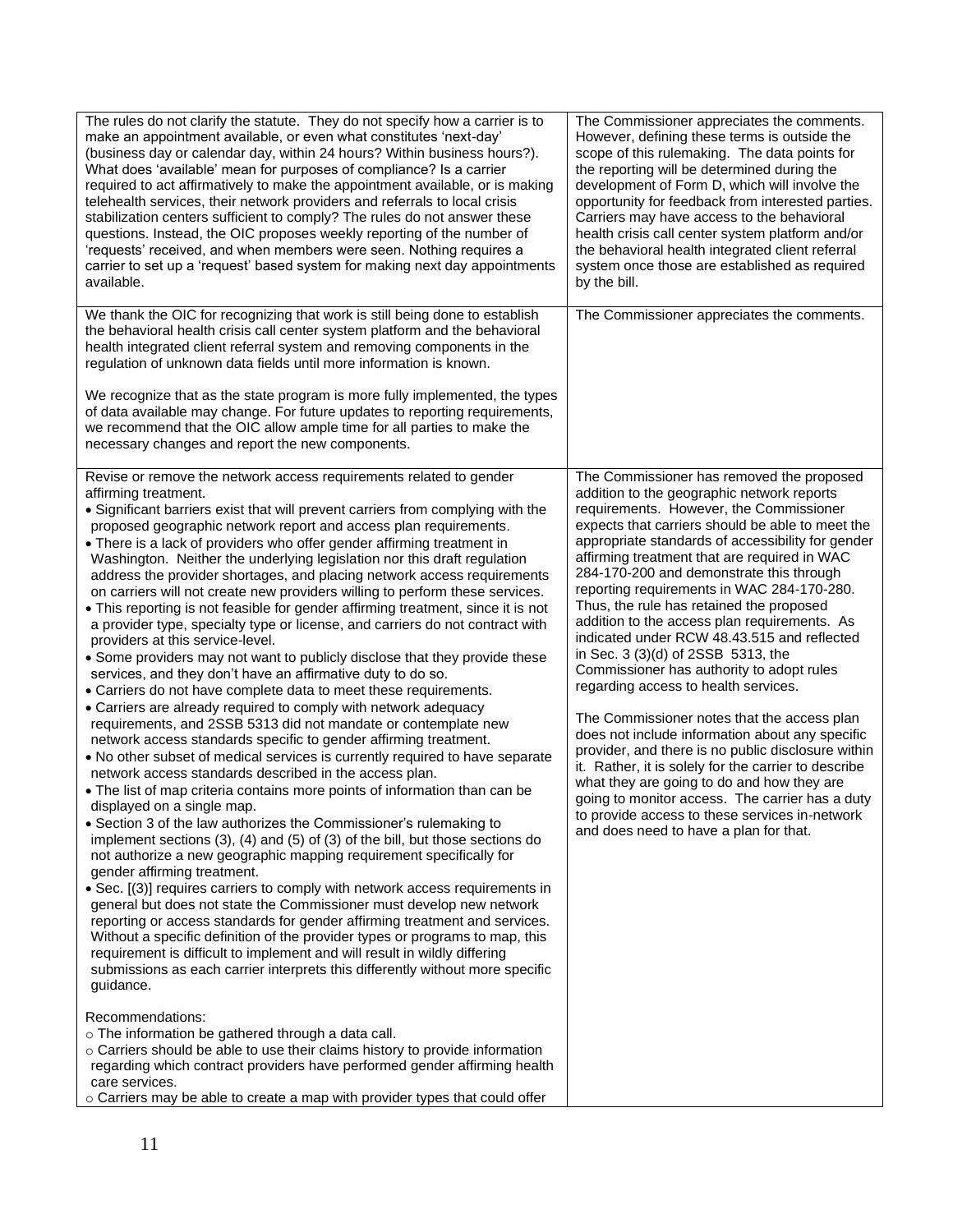| The rules do not clarify the statute. They do not specify how a carrier is to<br>make an appointment available, or even what constitutes 'next-day'<br>(business day or calendar day, within 24 hours? Within business hours?).<br>What does 'available' mean for purposes of compliance? Is a carrier<br>required to act affirmatively to make the appointment available, or is making<br>telehealth services, their network providers and referrals to local crisis<br>stabilization centers sufficient to comply? The rules do not answer these<br>questions. Instead, the OIC proposes weekly reporting of the number of<br>'requests' received, and when members were seen. Nothing requires a<br>carrier to set up a 'request' based system for making next day appointments<br>available.                                                                                                                                                                                                                                                                                                                                                                                                                                                                                                                                                                                                                                                                                                                                                                                                                                                                                                                                                                                                                                                                                                                                                                                                                                                                                                                                                                                                                                                                                                             | The Commissioner appreciates the comments.<br>However, defining these terms is outside the<br>scope of this rulemaking. The data points for<br>the reporting will be determined during the<br>development of Form D, which will involve the<br>opportunity for feedback from interested parties.<br>Carriers may have access to the behavioral<br>health crisis call center system platform and/or<br>the behavioral health integrated client referral<br>system once those are established as required<br>by the bill.                                                                                                                                                                                                                                                                                                                                                                                                                                                                                                                                                  |
|--------------------------------------------------------------------------------------------------------------------------------------------------------------------------------------------------------------------------------------------------------------------------------------------------------------------------------------------------------------------------------------------------------------------------------------------------------------------------------------------------------------------------------------------------------------------------------------------------------------------------------------------------------------------------------------------------------------------------------------------------------------------------------------------------------------------------------------------------------------------------------------------------------------------------------------------------------------------------------------------------------------------------------------------------------------------------------------------------------------------------------------------------------------------------------------------------------------------------------------------------------------------------------------------------------------------------------------------------------------------------------------------------------------------------------------------------------------------------------------------------------------------------------------------------------------------------------------------------------------------------------------------------------------------------------------------------------------------------------------------------------------------------------------------------------------------------------------------------------------------------------------------------------------------------------------------------------------------------------------------------------------------------------------------------------------------------------------------------------------------------------------------------------------------------------------------------------------------------------------------------------------------------------------------------------------|--------------------------------------------------------------------------------------------------------------------------------------------------------------------------------------------------------------------------------------------------------------------------------------------------------------------------------------------------------------------------------------------------------------------------------------------------------------------------------------------------------------------------------------------------------------------------------------------------------------------------------------------------------------------------------------------------------------------------------------------------------------------------------------------------------------------------------------------------------------------------------------------------------------------------------------------------------------------------------------------------------------------------------------------------------------------------|
| We thank the OIC for recognizing that work is still being done to establish<br>the behavioral health crisis call center system platform and the behavioral<br>health integrated client referral system and removing components in the<br>regulation of unknown data fields until more information is known.<br>We recognize that as the state program is more fully implemented, the types<br>of data available may change. For future updates to reporting requirements,<br>we recommend that the OIC allow ample time for all parties to make the<br>necessary changes and report the new components.                                                                                                                                                                                                                                                                                                                                                                                                                                                                                                                                                                                                                                                                                                                                                                                                                                                                                                                                                                                                                                                                                                                                                                                                                                                                                                                                                                                                                                                                                                                                                                                                                                                                                                      | The Commissioner appreciates the comments.                                                                                                                                                                                                                                                                                                                                                                                                                                                                                                                                                                                                                                                                                                                                                                                                                                                                                                                                                                                                                               |
| Revise or remove the network access requirements related to gender<br>affirming treatment.<br>• Significant barriers exist that will prevent carriers from complying with the<br>proposed geographic network report and access plan requirements.<br>• There is a lack of providers who offer gender affirming treatment in<br>Washington. Neither the underlying legislation nor this draft regulation<br>address the provider shortages, and placing network access requirements<br>on carriers will not create new providers willing to perform these services.<br>• This reporting is not feasible for gender affirming treatment, since it is not<br>a provider type, specialty type or license, and carriers do not contract with<br>providers at this service-level.<br>• Some providers may not want to publicly disclose that they provide these<br>services, and they don't have an affirmative duty to do so.<br>• Carriers do not have complete data to meet these requirements.<br>• Carriers are already required to comply with network adequacy<br>requirements, and 2SSB 5313 did not mandate or contemplate new<br>network access standards specific to gender affirming treatment.<br>. No other subset of medical services is currently required to have separate<br>network access standards described in the access plan.<br>• The list of map criteria contains more points of information than can be<br>displayed on a single map.<br>• Section 3 of the law authorizes the Commissioner's rulemaking to<br>implement sections $(3)$ , $(4)$ and $(5)$ of $(3)$ of the bill, but those sections do<br>not authorize a new geographic mapping requirement specifically for<br>gender affirming treatment.<br>• Sec. [(3)] requires carriers to comply with network access requirements in<br>general but does not state the Commissioner must develop new network<br>reporting or access standards for gender affirming treatment and services.<br>Without a specific definition of the provider types or programs to map, this<br>requirement is difficult to implement and will result in wildly differing<br>submissions as each carrier interprets this differently without more specific<br>guidance.<br>Recommendations:<br>o The information be gathered through a data call. | The Commissioner has removed the proposed<br>addition to the geographic network reports<br>requirements. However, the Commissioner<br>expects that carriers should be able to meet the<br>appropriate standards of accessibility for gender<br>affirming treatment that are required in WAC<br>284-170-200 and demonstrate this through<br>reporting requirements in WAC 284-170-280.<br>Thus, the rule has retained the proposed<br>addition to the access plan requirements. As<br>indicated under RCW 48.43.515 and reflected<br>in Sec. 3 (3)(d) of 2SSB 5313, the<br>Commissioner has authority to adopt rules<br>regarding access to health services.<br>The Commissioner notes that the access plan<br>does not include information about any specific<br>provider, and there is no public disclosure within<br>it. Rather, it is solely for the carrier to describe<br>what they are going to do and how they are<br>going to monitor access. The carrier has a duty<br>to provide access to these services in-network<br>and does need to have a plan for that. |
| o Carriers should be able to use their claims history to provide information<br>regarding which contract providers have performed gender affirming health<br>care services.<br>o Carriers may be able to create a map with provider types that could offer                                                                                                                                                                                                                                                                                                                                                                                                                                                                                                                                                                                                                                                                                                                                                                                                                                                                                                                                                                                                                                                                                                                                                                                                                                                                                                                                                                                                                                                                                                                                                                                                                                                                                                                                                                                                                                                                                                                                                                                                                                                   |                                                                                                                                                                                                                                                                                                                                                                                                                                                                                                                                                                                                                                                                                                                                                                                                                                                                                                                                                                                                                                                                          |
|                                                                                                                                                                                                                                                                                                                                                                                                                                                                                                                                                                                                                                                                                                                                                                                                                                                                                                                                                                                                                                                                                                                                                                                                                                                                                                                                                                                                                                                                                                                                                                                                                                                                                                                                                                                                                                                                                                                                                                                                                                                                                                                                                                                                                                                                                                              |                                                                                                                                                                                                                                                                                                                                                                                                                                                                                                                                                                                                                                                                                                                                                                                                                                                                                                                                                                                                                                                                          |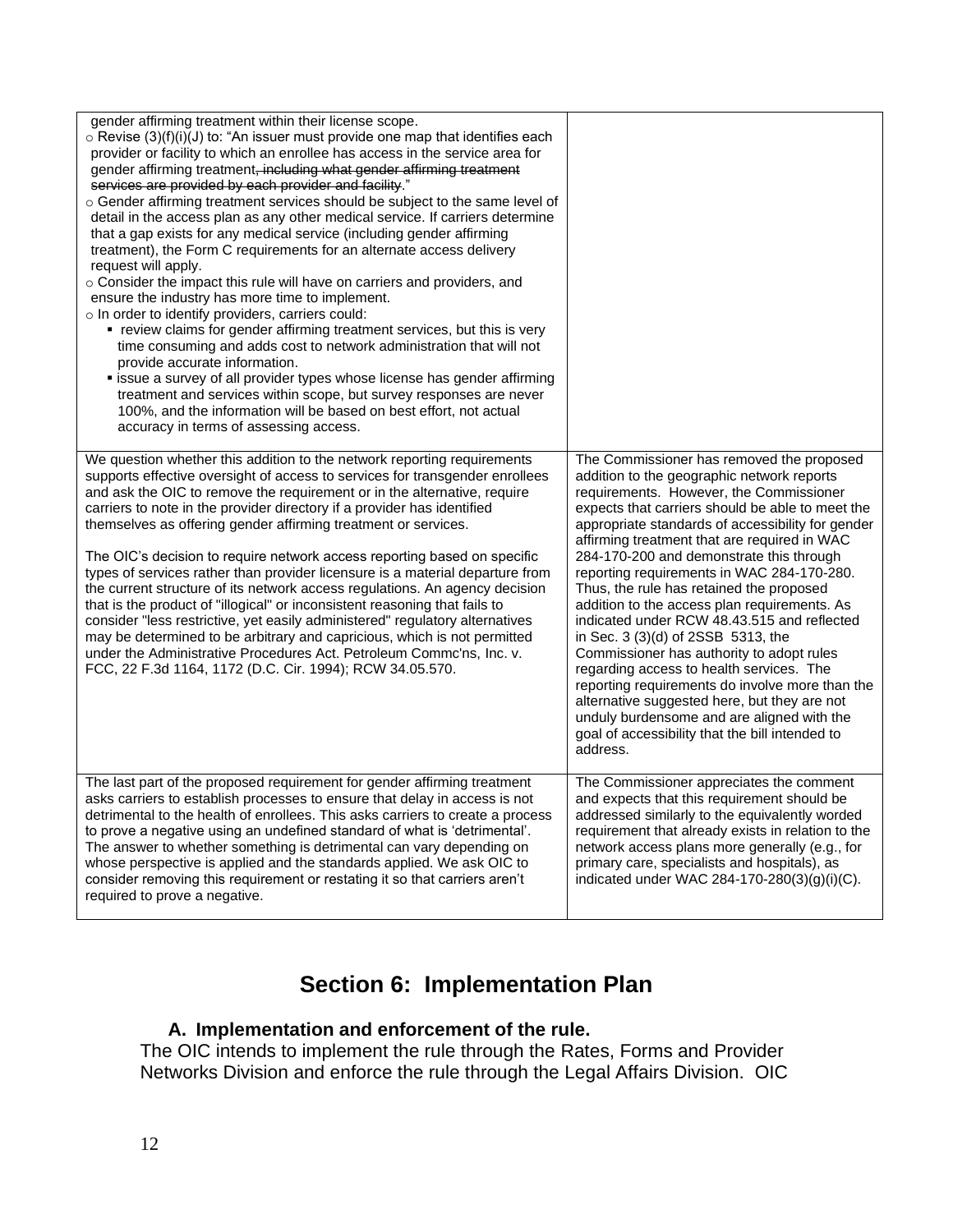| gender affirming treatment within their license scope.<br>$\circ$ Revise (3)(f)(i)(J) to: "An issuer must provide one map that identifies each<br>provider or facility to which an enrollee has access in the service area for<br>gender affirming treatment, including what gender affirming treatment<br>services are provided by each provider and facility."<br>$\circ$ Gender affirming treatment services should be subject to the same level of<br>detail in the access plan as any other medical service. If carriers determine<br>that a gap exists for any medical service (including gender affirming<br>treatment), the Form C requirements for an alternate access delivery<br>request will apply.<br>$\circ$ Consider the impact this rule will have on carriers and providers, and<br>ensure the industry has more time to implement.<br>o In order to identify providers, carriers could:<br>• review claims for gender affirming treatment services, but this is very<br>time consuming and adds cost to network administration that will not<br>provide accurate information.<br>" issue a survey of all provider types whose license has gender affirming<br>treatment and services within scope, but survey responses are never<br>100%, and the information will be based on best effort, not actual<br>accuracy in terms of assessing access. |                                                                                                                                                                                                                                                                                                                                                                                                                                                                                                                                                                                                                                                                                                                                                                                                                                                                                 |
|---------------------------------------------------------------------------------------------------------------------------------------------------------------------------------------------------------------------------------------------------------------------------------------------------------------------------------------------------------------------------------------------------------------------------------------------------------------------------------------------------------------------------------------------------------------------------------------------------------------------------------------------------------------------------------------------------------------------------------------------------------------------------------------------------------------------------------------------------------------------------------------------------------------------------------------------------------------------------------------------------------------------------------------------------------------------------------------------------------------------------------------------------------------------------------------------------------------------------------------------------------------------------------------------------------------------------------------------------------------------|---------------------------------------------------------------------------------------------------------------------------------------------------------------------------------------------------------------------------------------------------------------------------------------------------------------------------------------------------------------------------------------------------------------------------------------------------------------------------------------------------------------------------------------------------------------------------------------------------------------------------------------------------------------------------------------------------------------------------------------------------------------------------------------------------------------------------------------------------------------------------------|
| We question whether this addition to the network reporting requirements<br>supports effective oversight of access to services for transgender enrollees<br>and ask the OIC to remove the requirement or in the alternative, require<br>carriers to note in the provider directory if a provider has identified<br>themselves as offering gender affirming treatment or services.<br>The OIC's decision to require network access reporting based on specific<br>types of services rather than provider licensure is a material departure from<br>the current structure of its network access regulations. An agency decision<br>that is the product of "illogical" or inconsistent reasoning that fails to<br>consider "less restrictive, yet easily administered" regulatory alternatives<br>may be determined to be arbitrary and capricious, which is not permitted<br>under the Administrative Procedures Act. Petroleum Commc'ns, Inc. v.<br>FCC, 22 F.3d 1164, 1172 (D.C. Cir. 1994); RCW 34.05.570.                                                                                                                                                                                                                                                                                                                                                          | The Commissioner has removed the proposed<br>addition to the geographic network reports<br>requirements. However, the Commissioner<br>expects that carriers should be able to meet the<br>appropriate standards of accessibility for gender<br>affirming treatment that are required in WAC<br>284-170-200 and demonstrate this through<br>reporting requirements in WAC 284-170-280.<br>Thus, the rule has retained the proposed<br>addition to the access plan requirements. As<br>indicated under RCW 48.43.515 and reflected<br>in Sec. 3 (3)(d) of 2SSB 5313, the<br>Commissioner has authority to adopt rules<br>regarding access to health services. The<br>reporting requirements do involve more than the<br>alternative suggested here, but they are not<br>unduly burdensome and are aligned with the<br>goal of accessibility that the bill intended to<br>address. |
| The last part of the proposed requirement for gender affirming treatment<br>asks carriers to establish processes to ensure that delay in access is not<br>detrimental to the health of enrollees. This asks carriers to create a process<br>to prove a negative using an undefined standard of what is 'detrimental'.<br>The answer to whether something is detrimental can vary depending on<br>whose perspective is applied and the standards applied. We ask OIC to<br>consider removing this requirement or restating it so that carriers aren't<br>required to prove a negative.                                                                                                                                                                                                                                                                                                                                                                                                                                                                                                                                                                                                                                                                                                                                                                               | The Commissioner appreciates the comment<br>and expects that this requirement should be<br>addressed similarly to the equivalently worded<br>requirement that already exists in relation to the<br>network access plans more generally (e.g., for<br>primary care, specialists and hospitals), as<br>indicated under WAC 284-170-280(3)(g)(i)(C).                                                                                                                                                                                                                                                                                                                                                                                                                                                                                                                               |

# **Section 6: Implementation Plan**

### **A. Implementation and enforcement of the rule.**

 Networks Division and enforce the rule through the Legal Affairs Division. OIC The OIC intends to implement the rule through the Rates, Forms and Provider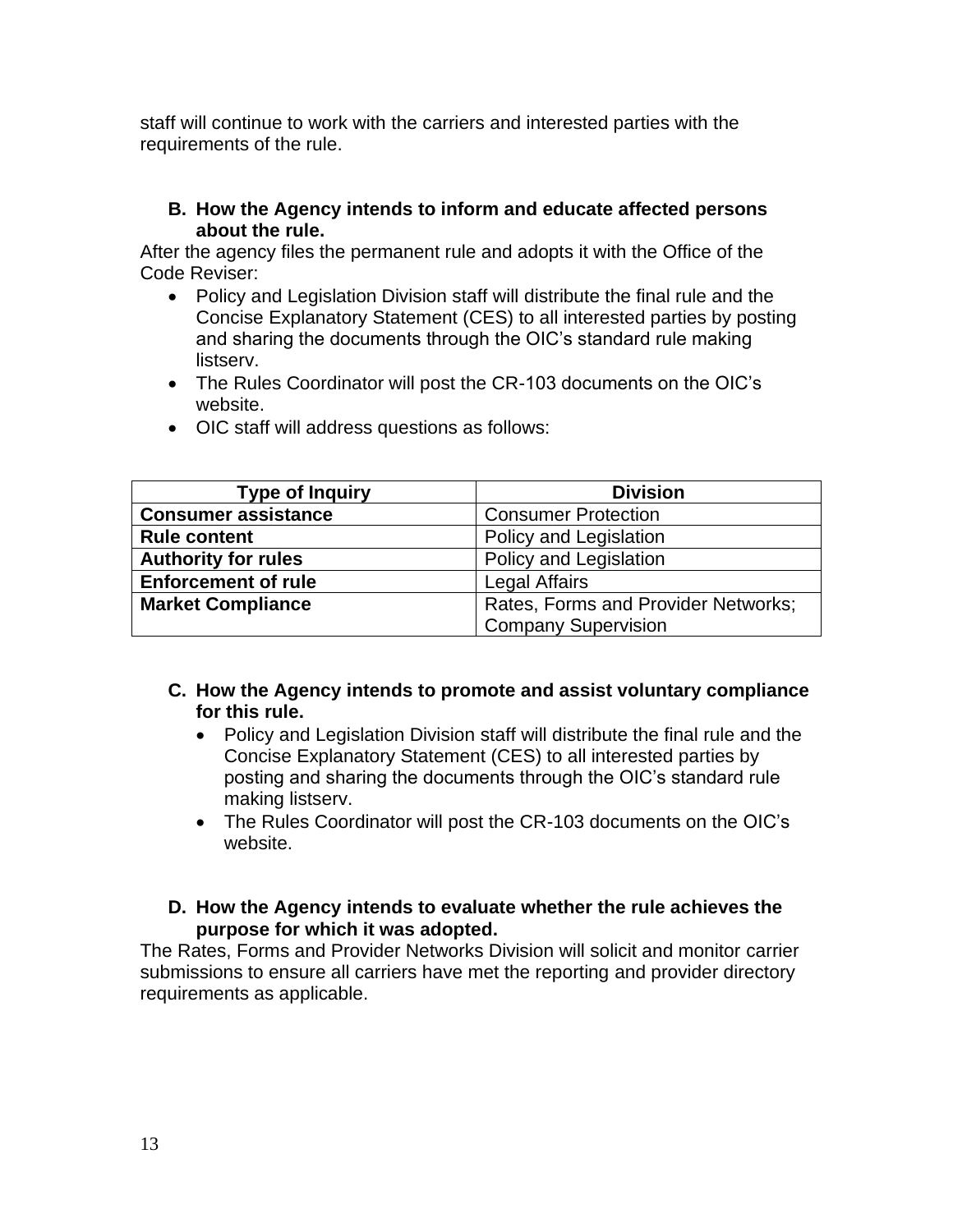staff will continue to work with the carriers and interested parties with the requirements of the rule.

#### **B. How the Agency intends to inform and educate affected persons about the rule.**

After the agency files the permanent rule and adopts it with the Office of the Code Reviser:

- • Policy and Legislation Division staff will distribute the final rule and the Concise Explanatory Statement (CES) to all interested parties by posting and sharing the documents through the OIC's standard rule making listserv.
- The Rules Coordinator will post the CR-103 documents on the OIC's website.
- **Type of Inquiry Constructed Expansion Construction Construction Division Consumer assistance Consumer Protection Rule content Rule content Policy and Legislation Authority for rules Policy and Legislation Enforcement of rule Legal Affairs Market Compliance Rates, Forms and Provider Networks;**
- OIC staff will address questions as follows:

- **C. How the Agency intends to promote and assist voluntary compliance for this rule.** 
	- • Policy and Legislation Division staff will distribute the final rule and the Concise Explanatory Statement (CES) to all interested parties by posting and sharing the documents through the OIC's standard rule making listserv.

Company Supervision

• The Rules Coordinator will post the CR-103 documents on the OIC's website.

#### **D. How the Agency intends to evaluate whether the rule achieves the purpose for which it was adopted.**

 requirements as applicable. The Rates, Forms and Provider Networks Division will solicit and monitor carrier submissions to ensure all carriers have met the reporting and provider directory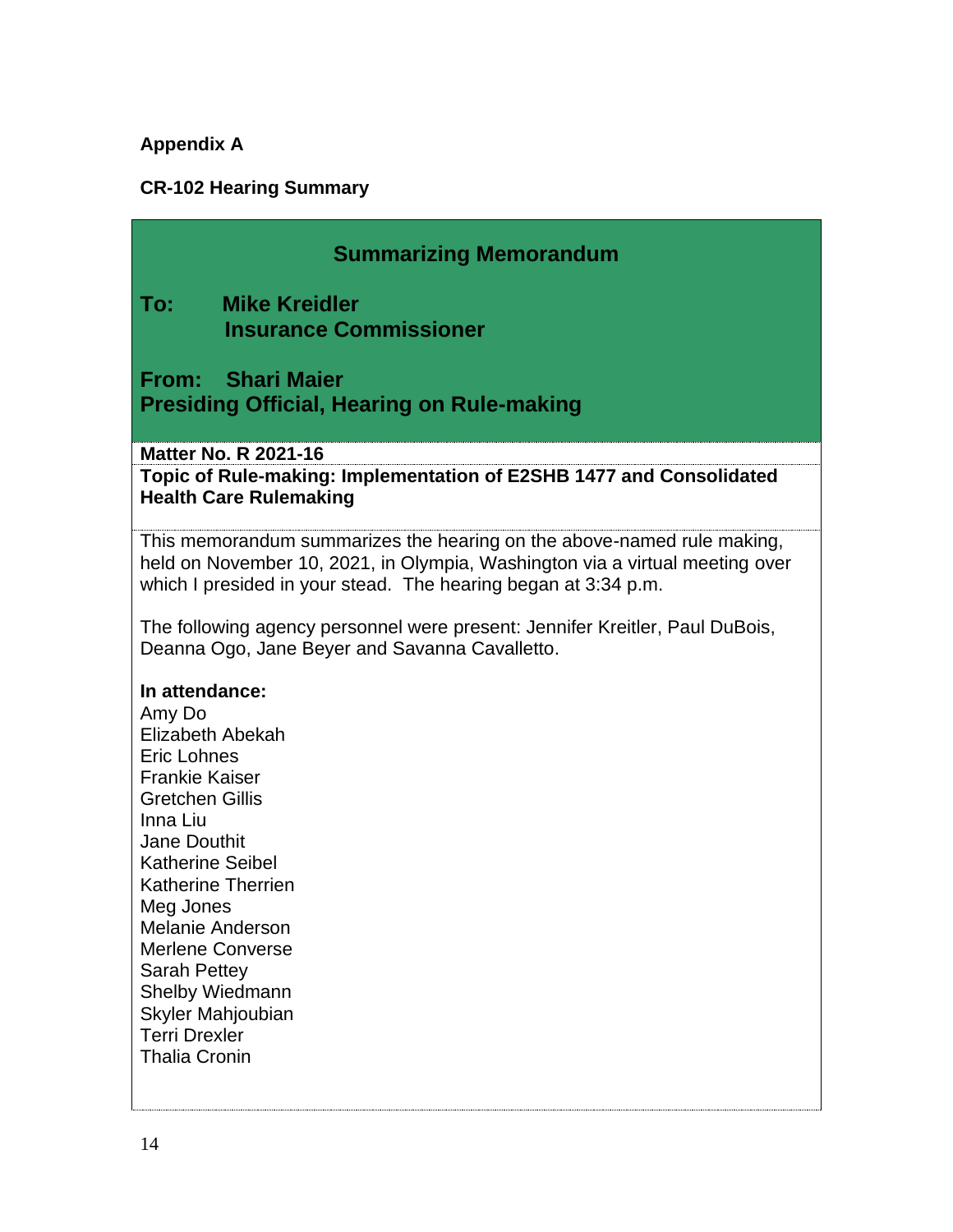## **Appendix A**

## **CR-102 Hearing Summary**

|                               | <b>Summarizing Memorandum</b>                                                                                                                                                                                            |
|-------------------------------|--------------------------------------------------------------------------------------------------------------------------------------------------------------------------------------------------------------------------|
| To:<br><b>Mike Kreidler</b>   | <b>Insurance Commissioner</b>                                                                                                                                                                                            |
|                               |                                                                                                                                                                                                                          |
| From: Shari Maier             | <b>Presiding Official, Hearing on Rule-making</b>                                                                                                                                                                        |
| <b>Matter No. R 2021-16</b>   |                                                                                                                                                                                                                          |
|                               | Topic of Rule-making: Implementation of E2SHB 1477 and Consolidated                                                                                                                                                      |
| <b>Health Care Rulemaking</b> |                                                                                                                                                                                                                          |
|                               | This memorandum summarizes the hearing on the above-named rule making,<br>held on November 10, 2021, in Olympia, Washington via a virtual meeting over<br>which I presided in your stead. The hearing began at 3:34 p.m. |
|                               | The following agency personnel were present: Jennifer Kreitler, Paul DuBois,<br>Deanna Ogo, Jane Beyer and Savanna Cavalletto.                                                                                           |
| In attendance:                |                                                                                                                                                                                                                          |
| Amy Do                        |                                                                                                                                                                                                                          |
| Elizabeth Abekah              |                                                                                                                                                                                                                          |
| Eric Lohnes                   |                                                                                                                                                                                                                          |
| <b>Frankie Kaiser</b>         |                                                                                                                                                                                                                          |
| <b>Gretchen Gillis</b>        |                                                                                                                                                                                                                          |
| Inna Liu<br>Jane Douthit      |                                                                                                                                                                                                                          |
| <b>Katherine Seibel</b>       |                                                                                                                                                                                                                          |
| <b>Katherine Therrien</b>     |                                                                                                                                                                                                                          |
| Meg Jones                     |                                                                                                                                                                                                                          |
| <b>Melanie Anderson</b>       |                                                                                                                                                                                                                          |
| <b>Merlene Converse</b>       |                                                                                                                                                                                                                          |
| <b>Sarah Pettey</b>           |                                                                                                                                                                                                                          |
| Shelby Wiedmann               |                                                                                                                                                                                                                          |
| Skyler Mahjoubian             |                                                                                                                                                                                                                          |
| <b>Terri Drexler</b>          |                                                                                                                                                                                                                          |
| <b>Thalia Cronin</b>          |                                                                                                                                                                                                                          |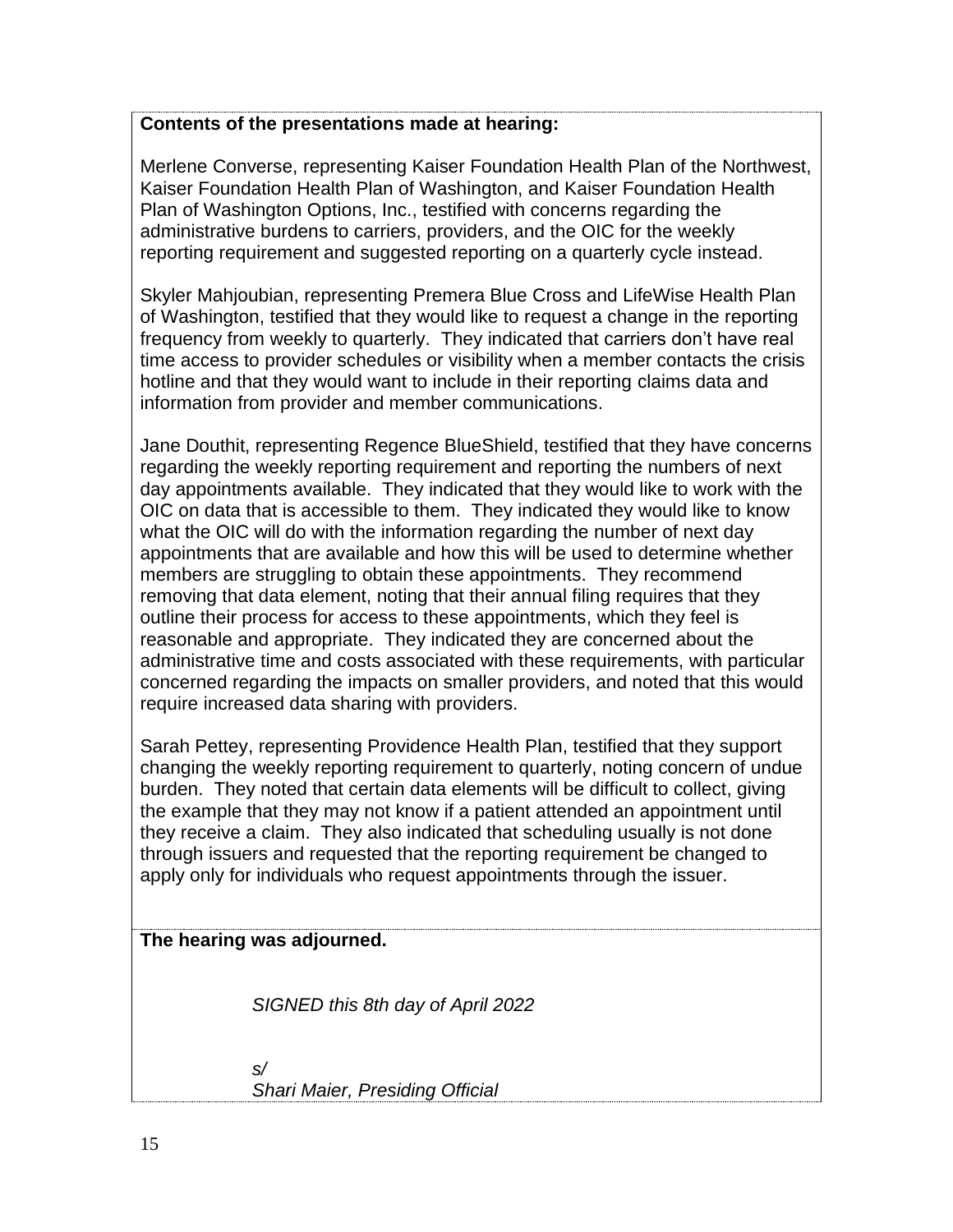#### **Contents of the presentations made at hearing:**

Merlene Converse, representing Kaiser Foundation Health Plan of the Northwest, Kaiser Foundation Health Plan of Washington, and Kaiser Foundation Health Plan of Washington Options, Inc., testified with concerns regarding the administrative burdens to carriers, providers, and the OIC for the weekly reporting requirement and suggested reporting on a quarterly cycle instead.

 time access to provider schedules or visibility when a member contacts the crisis hotline and that they would want to include in their reporting claims data and information from provider and member communications. Skyler Mahjoubian, representing Premera Blue Cross and LifeWise Health Plan of Washington, testified that they would like to request a change in the reporting frequency from weekly to quarterly. They indicated that carriers don't have real

 regarding the weekly reporting requirement and reporting the numbers of next day appointments available. They indicated that they would like to work with the OIC on data that is accessible to them. They indicated they would like to know members are struggling to obtain these appointments. They recommend require increased data sharing with providers. Jane Douthit, representing Regence BlueShield, testified that they have concerns what the OIC will do with the information regarding the number of next day appointments that are available and how this will be used to determine whether removing that data element, noting that their annual filing requires that they outline their process for access to these appointments, which they feel is reasonable and appropriate. They indicated they are concerned about the administrative time and costs associated with these requirements, with particular concerned regarding the impacts on smaller providers, and noted that this would

 they receive a claim. They also indicated that scheduling usually is not done Sarah Pettey, representing Providence Health Plan, testified that they support changing the weekly reporting requirement to quarterly, noting concern of undue burden. They noted that certain data elements will be difficult to collect, giving the example that they may not know if a patient attended an appointment until through issuers and requested that the reporting requirement be changed to apply only for individuals who request appointments through the issuer.

#### **The hearing was adjourned.**

 *SIGNED this 8th day of April 2022 s/* 

*Shari Maier, Presiding Official*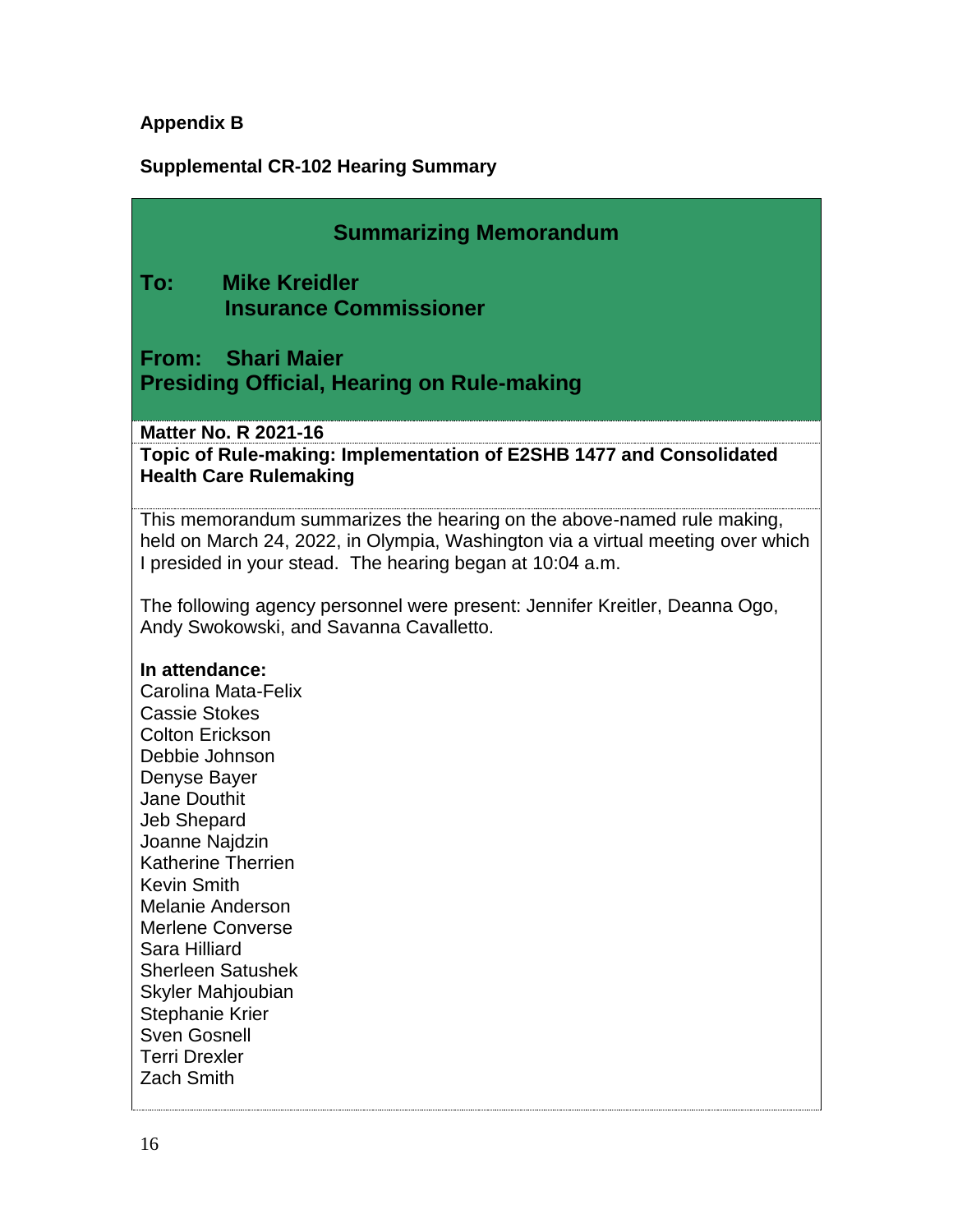# **Appendix B**

# **Supplemental CR-102 Hearing Summary**

| <b>Summarizing Memorandum</b>                                                   |  |
|---------------------------------------------------------------------------------|--|
| To:<br><b>Mike Kreidler</b>                                                     |  |
| <b>Insurance Commissioner</b>                                                   |  |
|                                                                                 |  |
| From: Shari Maier                                                               |  |
| <b>Presiding Official, Hearing on Rule-making</b>                               |  |
|                                                                                 |  |
| <b>Matter No. R 2021-16</b>                                                     |  |
| Topic of Rule-making: Implementation of E2SHB 1477 and Consolidated             |  |
| <b>Health Care Rulemaking</b>                                                   |  |
| This memorandum summarizes the hearing on the above-named rule making,          |  |
| held on March 24, 2022, in Olympia, Washington via a virtual meeting over which |  |
| I presided in your stead. The hearing began at 10:04 a.m.                       |  |
|                                                                                 |  |
| The following agency personnel were present: Jennifer Kreitler, Deanna Ogo,     |  |
| Andy Swokowski, and Savanna Cavalletto.                                         |  |
| In attendance:                                                                  |  |
| Carolina Mata-Felix                                                             |  |
| <b>Cassie Stokes</b>                                                            |  |
| <b>Colton Erickson</b>                                                          |  |
| Debbie Johnson                                                                  |  |
|                                                                                 |  |
| Denyse Bayer                                                                    |  |
| <b>Jane Douthit</b>                                                             |  |
| Jeb Shepard                                                                     |  |
| Joanne Najdzin                                                                  |  |
| <b>Katherine Therrien</b>                                                       |  |
| <b>Kevin Smith</b><br><b>Melanie Anderson</b>                                   |  |
| <b>Merlene Converse</b>                                                         |  |
| Sara Hilliard                                                                   |  |
| <b>Sherleen Satushek</b>                                                        |  |
| Skyler Mahjoubian                                                               |  |
| <b>Stephanie Krier</b>                                                          |  |
| <b>Sven Gosnell</b><br><b>Terri Drexler</b>                                     |  |